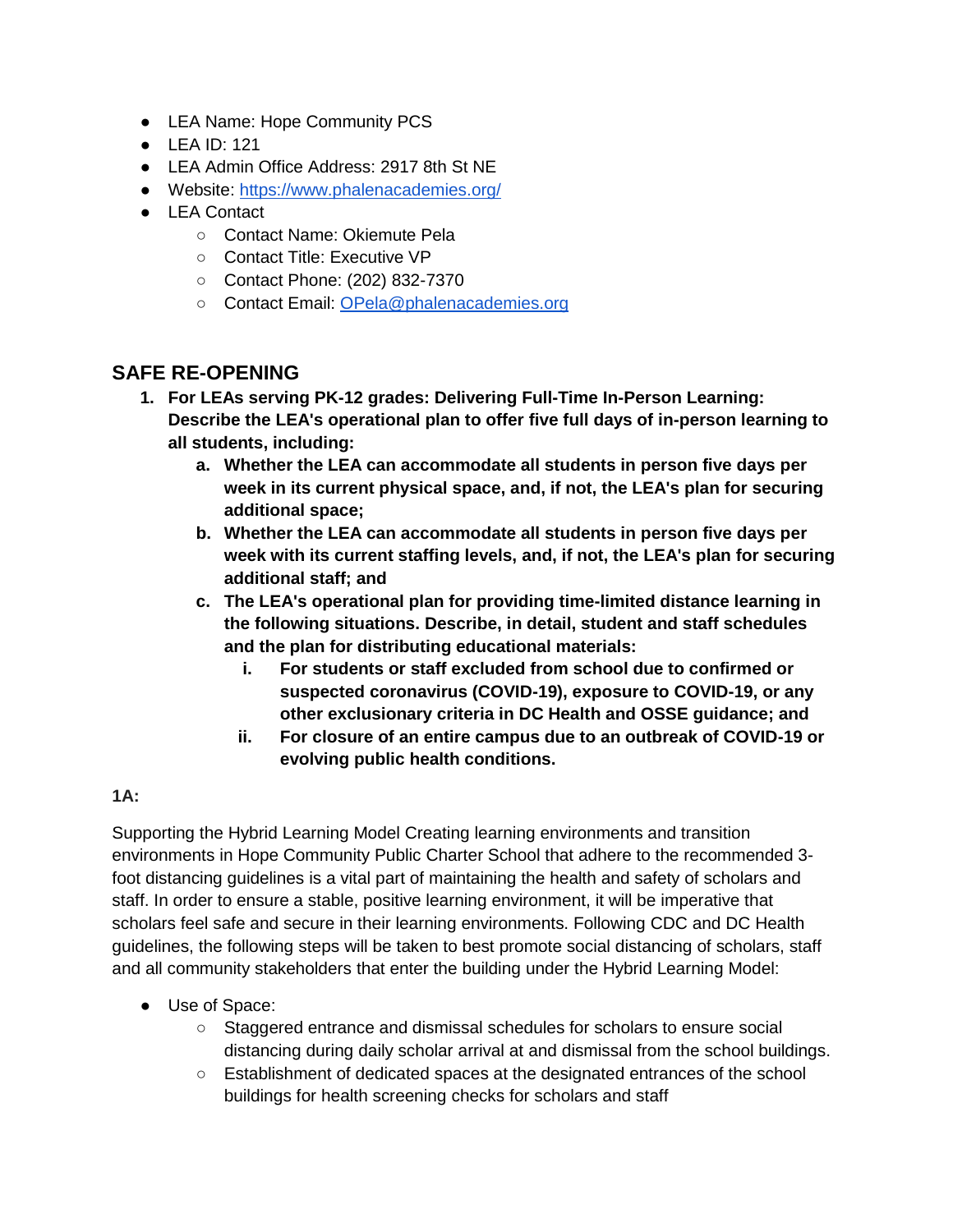- LEA Name: Hope Community PCS
- LEA ID: 121
- LEA Admin Office Address: 2917 8th St NE
- Website:<https://www.phalenacademies.org/>
- LEA Contact
	- Contact Name: Okiemute Pela
	- Contact Title: Executive VP
	- Contact Phone: (202) 832-7370
	- Contact Email: [OPela@phalenacademies.org](mailto:OPela@phalenacademies.org)

# **SAFE RE-OPENING**

- **1. For LEAs serving PK-12 grades: Delivering Full-Time In-Person Learning: Describe the LEA's operational plan to offer five full days of in-person learning to all students, including:**
	- **a. Whether the LEA can accommodate all students in person five days per week in its current physical space, and, if not, the LEA's plan for securing additional space;**
	- **b. Whether the LEA can accommodate all students in person five days per week with its current staffing levels, and, if not, the LEA's plan for securing additional staff; and**
	- **c. The LEA's operational plan for providing time-limited distance learning in the following situations. Describe, in detail, student and staff schedules and the plan for distributing educational materials:**
		- **i. For students or staff excluded from school due to confirmed or suspected coronavirus (COVID-19), exposure to COVID-19, or any other exclusionary criteria in DC Health and OSSE guidance; and**
		- **ii. For closure of an entire campus due to an outbreak of COVID-19 or evolving public health conditions.**

# **1A:**

Supporting the Hybrid Learning Model Creating learning environments and transition environments in Hope Community Public Charter School that adhere to the recommended 3 foot distancing guidelines is a vital part of maintaining the health and safety of scholars and staff. In order to ensure a stable, positive learning environment, it will be imperative that scholars feel safe and secure in their learning environments. Following CDC and DC Health guidelines, the following steps will be taken to best promote social distancing of scholars, staff and all community stakeholders that enter the building under the Hybrid Learning Model:

- Use of Space:
	- Staggered entrance and dismissal schedules for scholars to ensure social distancing during daily scholar arrival at and dismissal from the school buildings.
	- Establishment of dedicated spaces at the designated entrances of the school buildings for health screening checks for scholars and staff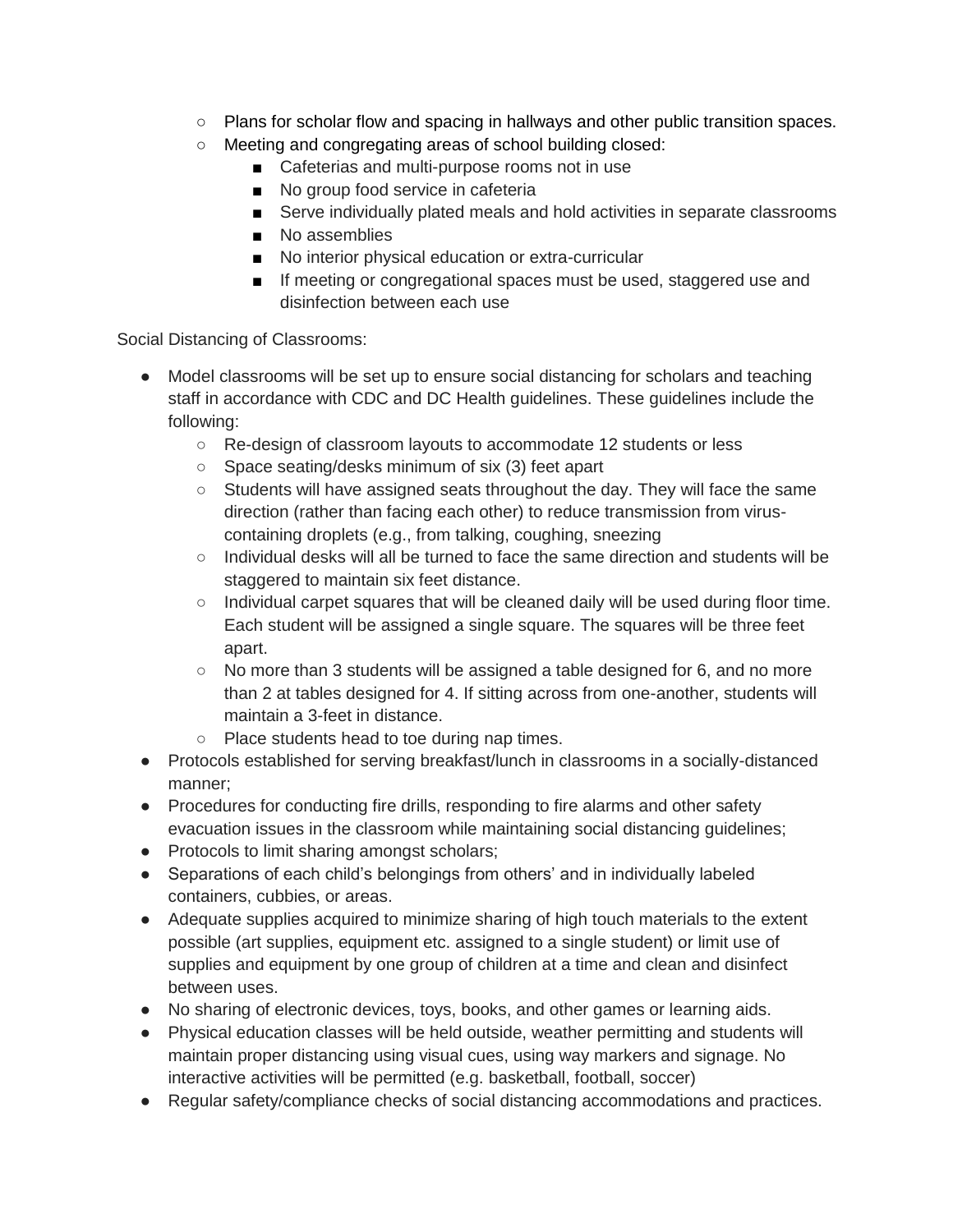- Plans for scholar flow and spacing in hallways and other public transition spaces.
- Meeting and congregating areas of school building closed:
	- Cafeterias and multi-purpose rooms not in use
	- No group food service in cafeteria
	- Serve individually plated meals and hold activities in separate classrooms
	- No assemblies
	- No interior physical education or extra-curricular
	- If meeting or congregational spaces must be used, staggered use and disinfection between each use

Social Distancing of Classrooms:

- Model classrooms will be set up to ensure social distancing for scholars and teaching staff in accordance with CDC and DC Health guidelines. These guidelines include the following:
	- Re-design of classroom layouts to accommodate 12 students or less
	- Space seating/desks minimum of six (3) feet apart
	- Students will have assigned seats throughout the day. They will face the same direction (rather than facing each other) to reduce transmission from viruscontaining droplets (e.g., from talking, coughing, sneezing
	- Individual desks will all be turned to face the same direction and students will be staggered to maintain six feet distance.
	- Individual carpet squares that will be cleaned daily will be used during floor time. Each student will be assigned a single square. The squares will be three feet apart.
	- $\circ$  No more than 3 students will be assigned a table designed for 6, and no more than 2 at tables designed for 4. If sitting across from one-another, students will maintain a 3-feet in distance.
	- Place students head to toe during nap times.
- Protocols established for serving breakfast/lunch in classrooms in a socially-distanced manner;
- Procedures for conducting fire drills, responding to fire alarms and other safety evacuation issues in the classroom while maintaining social distancing guidelines;
- Protocols to limit sharing amongst scholars;
- Separations of each child's belongings from others' and in individually labeled containers, cubbies, or areas.
- Adequate supplies acquired to minimize sharing of high touch materials to the extent possible (art supplies, equipment etc. assigned to a single student) or limit use of supplies and equipment by one group of children at a time and clean and disinfect between uses.
- No sharing of electronic devices, toys, books, and other games or learning aids.
- Physical education classes will be held outside, weather permitting and students will maintain proper distancing using visual cues, using way markers and signage. No interactive activities will be permitted (e.g. basketball, football, soccer)
- Regular safety/compliance checks of social distancing accommodations and practices.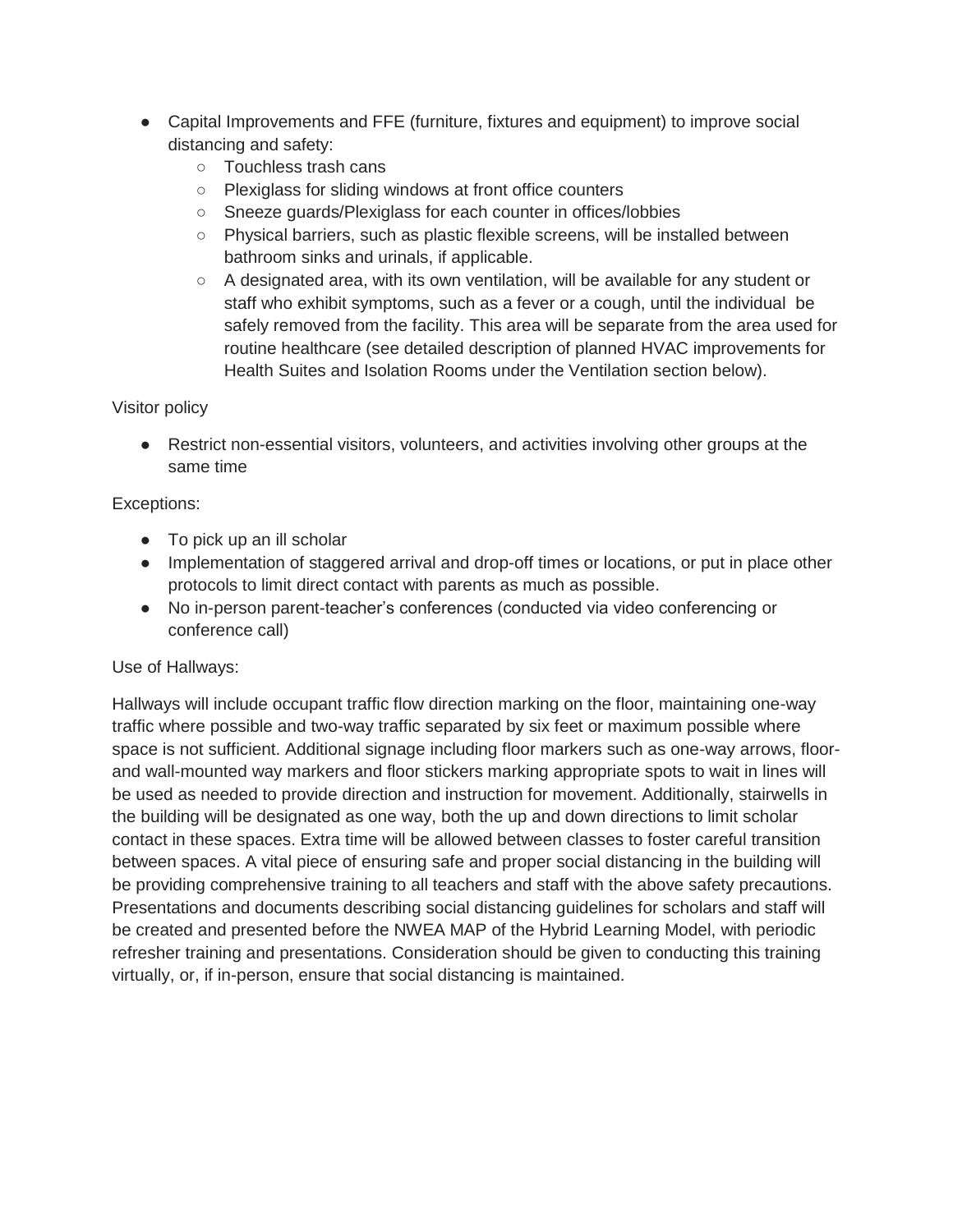- Capital Improvements and FFE (furniture, fixtures and equipment) to improve social distancing and safety:
	- Touchless trash cans
	- Plexiglass for sliding windows at front office counters
	- Sneeze guards/Plexiglass for each counter in offices/lobbies
	- Physical barriers, such as plastic flexible screens, will be installed between bathroom sinks and urinals, if applicable.
	- A designated area, with its own ventilation, will be available for any student or staff who exhibit symptoms, such as a fever or a cough, until the individual be safely removed from the facility. This area will be separate from the area used for routine healthcare (see detailed description of planned HVAC improvements for Health Suites and Isolation Rooms under the Ventilation section below).

# Visitor policy

● Restrict non-essential visitors, volunteers, and activities involving other groups at the same time

# Exceptions:

- To pick up an ill scholar
- Implementation of staggered arrival and drop-off times or locations, or put in place other protocols to limit direct contact with parents as much as possible.
- No in-person parent-teacher's conferences (conducted via video conferencing or conference call)

# Use of Hallways:

Hallways will include occupant traffic flow direction marking on the floor, maintaining one-way traffic where possible and two-way traffic separated by six feet or maximum possible where space is not sufficient. Additional signage including floor markers such as one-way arrows, floorand wall-mounted way markers and floor stickers marking appropriate spots to wait in lines will be used as needed to provide direction and instruction for movement. Additionally, stairwells in the building will be designated as one way, both the up and down directions to limit scholar contact in these spaces. Extra time will be allowed between classes to foster careful transition between spaces. A vital piece of ensuring safe and proper social distancing in the building will be providing comprehensive training to all teachers and staff with the above safety precautions. Presentations and documents describing social distancing guidelines for scholars and staff will be created and presented before the NWEA MAP of the Hybrid Learning Model, with periodic refresher training and presentations. Consideration should be given to conducting this training virtually, or, if in-person, ensure that social distancing is maintained.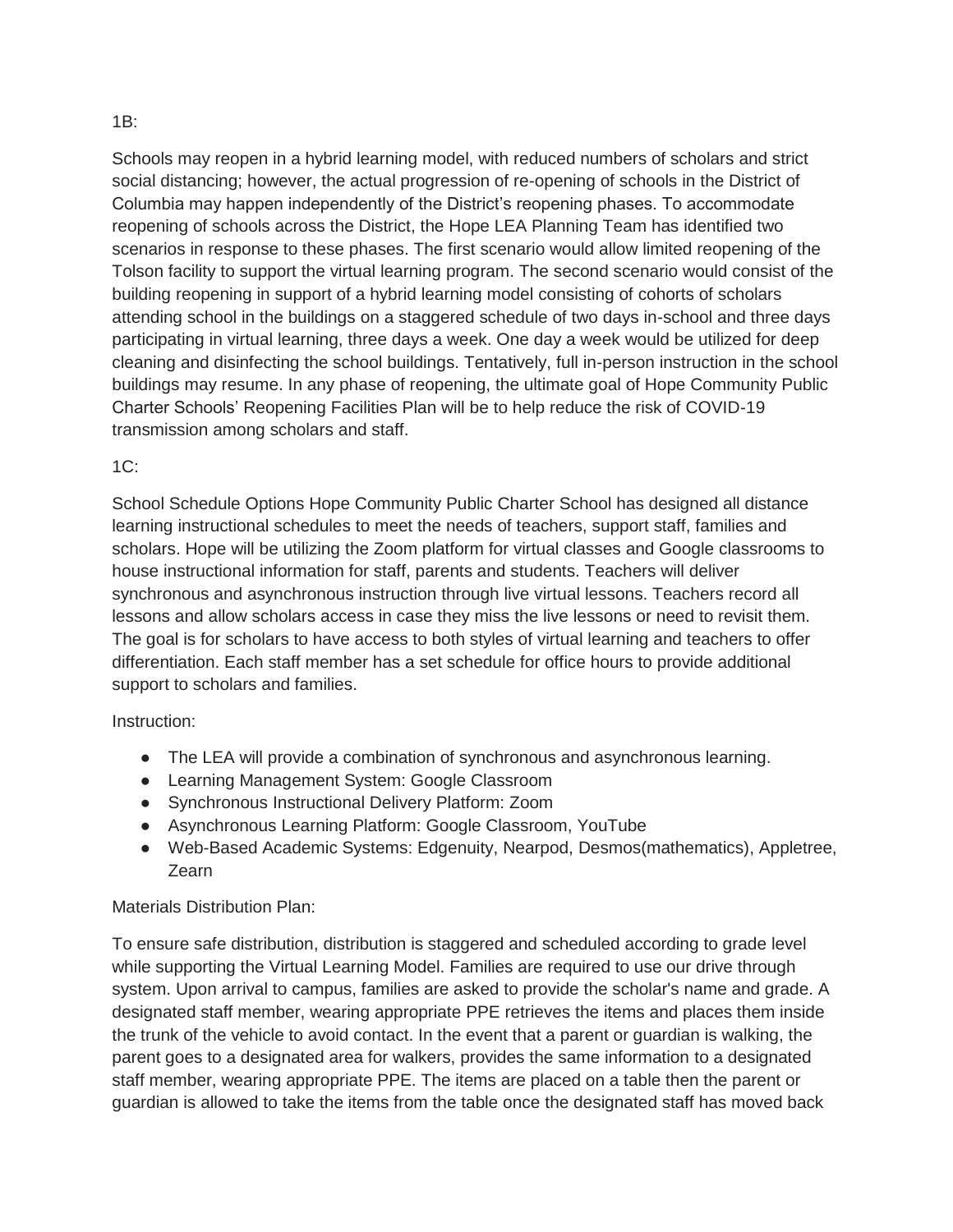#### 1B:

Schools may reopen in a hybrid learning model, with reduced numbers of scholars and strict social distancing; however, the actual progression of re-opening of schools in the District of Columbia may happen independently of the District's reopening phases. To accommodate reopening of schools across the District, the Hope LEA Planning Team has identified two scenarios in response to these phases. The first scenario would allow limited reopening of the Tolson facility to support the virtual learning program. The second scenario would consist of the building reopening in support of a hybrid learning model consisting of cohorts of scholars attending school in the buildings on a staggered schedule of two days in-school and three days participating in virtual learning, three days a week. One day a week would be utilized for deep cleaning and disinfecting the school buildings. Tentatively, full in-person instruction in the school buildings may resume. In any phase of reopening, the ultimate goal of Hope Community Public Charter Schools' Reopening Facilities Plan will be to help reduce the risk of COVID-19 transmission among scholars and staff.

#### $1C$ :

School Schedule Options Hope Community Public Charter School has designed all distance learning instructional schedules to meet the needs of teachers, support staff, families and scholars. Hope will be utilizing the Zoom platform for virtual classes and Google classrooms to house instructional information for staff, parents and students. Teachers will deliver synchronous and asynchronous instruction through live virtual lessons. Teachers record all lessons and allow scholars access in case they miss the live lessons or need to revisit them. The goal is for scholars to have access to both styles of virtual learning and teachers to offer differentiation. Each staff member has a set schedule for office hours to provide additional support to scholars and families.

#### Instruction:

- The LEA will provide a combination of synchronous and asynchronous learning.
- Learning Management System: Google Classroom
- Synchronous Instructional Delivery Platform: Zoom
- Asynchronous Learning Platform: Google Classroom, YouTube
- Web-Based Academic Systems: Edgenuity, Nearpod, Desmos(mathematics), Appletree, Zearn

# Materials Distribution Plan:

To ensure safe distribution, distribution is staggered and scheduled according to grade level while supporting the Virtual Learning Model. Families are required to use our drive through system. Upon arrival to campus, families are asked to provide the scholar's name and grade. A designated staff member, wearing appropriate PPE retrieves the items and places them inside the trunk of the vehicle to avoid contact. In the event that a parent or guardian is walking, the parent goes to a designated area for walkers, provides the same information to a designated staff member, wearing appropriate PPE. The items are placed on a table then the parent or guardian is allowed to take the items from the table once the designated staff has moved back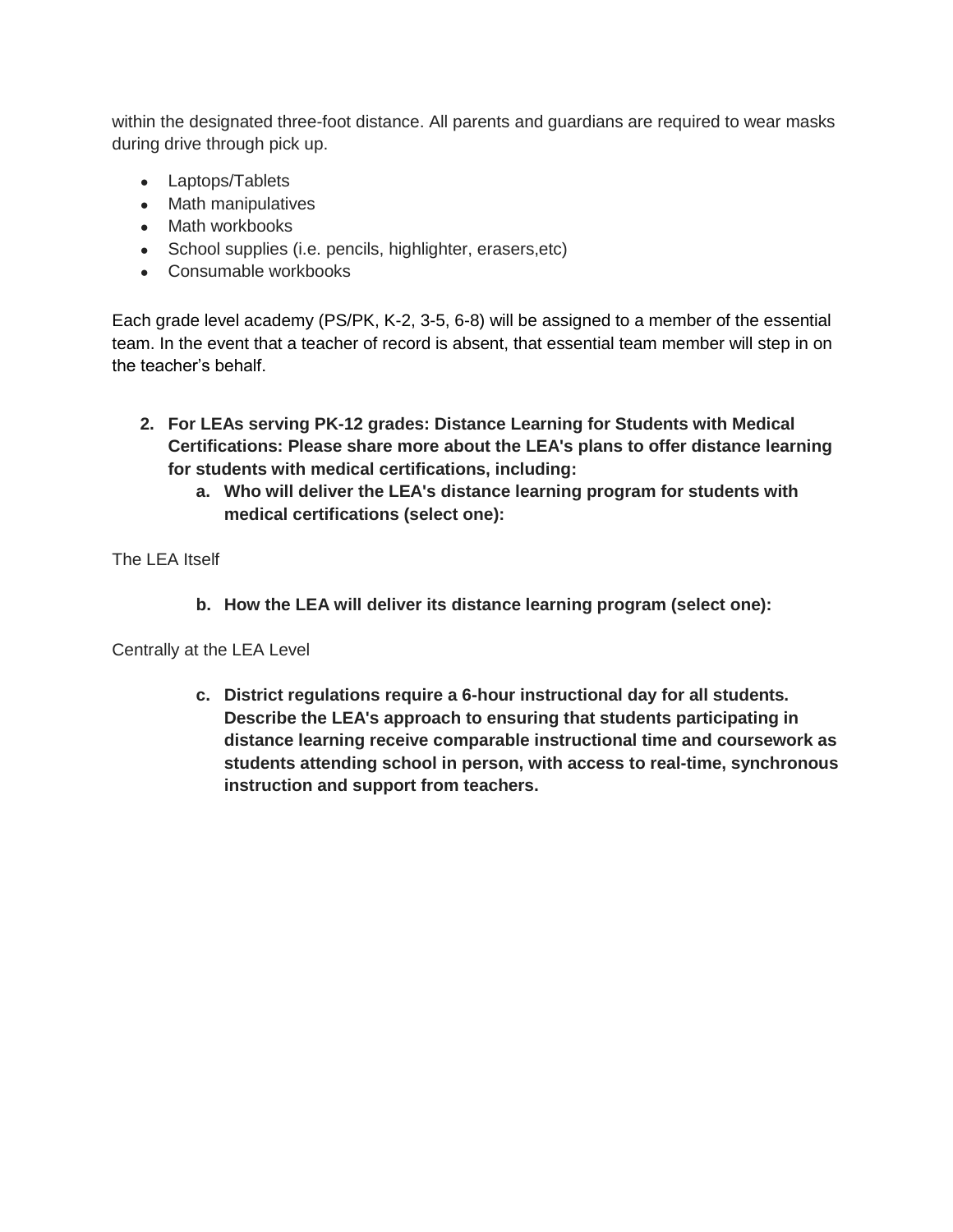within the designated three-foot distance. All parents and guardians are required to wear masks during drive through pick up.

- Laptops/Tablets
- Math manipulatives
- Math workbooks
- School supplies (i.e. pencils, highlighter, erasers, etc)
- Consumable workbooks

Each grade level academy (PS/PK, K-2, 3-5, 6-8) will be assigned to a member of the essential team. In the event that a teacher of record is absent, that essential team member will step in on the teacher's behalf.

- **2. For LEAs serving PK-12 grades: Distance Learning for Students with Medical Certifications: Please share more about the LEA's plans to offer distance learning for students with medical certifications, including:**
	- **a. Who will deliver the LEA's distance learning program for students with medical certifications (select one):**

The I FA Itself

**b. How the LEA will deliver its distance learning program (select one):**

Centrally at the LEA Level

**c. District regulations require a 6-hour instructional day for all students. Describe the LEA's approach to ensuring that students participating in distance learning receive comparable instructional time and coursework as students attending school in person, with access to real-time, synchronous instruction and support from teachers.**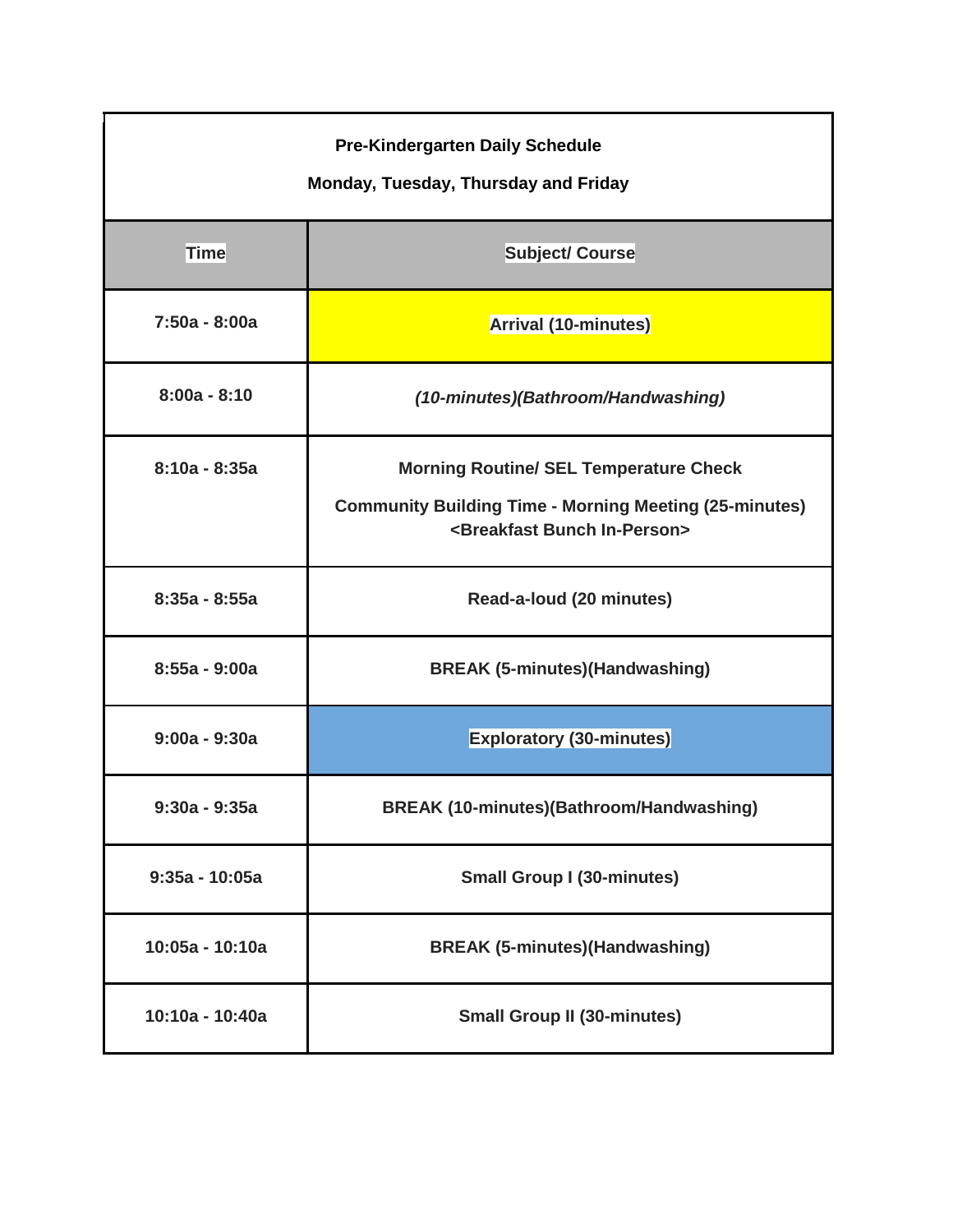| <b>Pre-Kindergarten Daily Schedule</b><br>Monday, Tuesday, Thursday and Friday |                                                                                                                                                                 |
|--------------------------------------------------------------------------------|-----------------------------------------------------------------------------------------------------------------------------------------------------------------|
| <b>Time</b>                                                                    | <b>Subject/ Course</b>                                                                                                                                          |
| 7:50a - 8:00a                                                                  | Arrival (10-minutes)                                                                                                                                            |
| $8:00a - 8:10$                                                                 | (10-minutes)(Bathroom/Handwashing)                                                                                                                              |
| $8:10a - 8:35a$                                                                | <b>Morning Routine/ SEL Temperature Check</b><br><b>Community Building Time - Morning Meeting (25-minutes)</b><br><breakfast bunch="" in-person=""></breakfast> |
| $8:35a - 8:55a$                                                                | Read-a-loud (20 minutes)                                                                                                                                        |
| 8:55a - 9:00a                                                                  | <b>BREAK (5-minutes)(Handwashing)</b>                                                                                                                           |
| $9:00a - 9:30a$                                                                | <b>Exploratory (30-minutes)</b>                                                                                                                                 |
| 9:30a - 9:35a                                                                  | <b>BREAK (10-minutes)(Bathroom/Handwashing)</b>                                                                                                                 |
| $9:35a - 10:05a$                                                               | <b>Small Group I (30-minutes)</b>                                                                                                                               |
| 10:05a - 10:10a                                                                | <b>BREAK (5-minutes)(Handwashing)</b>                                                                                                                           |
| 10:10a - 10:40a                                                                | <b>Small Group II (30-minutes)</b>                                                                                                                              |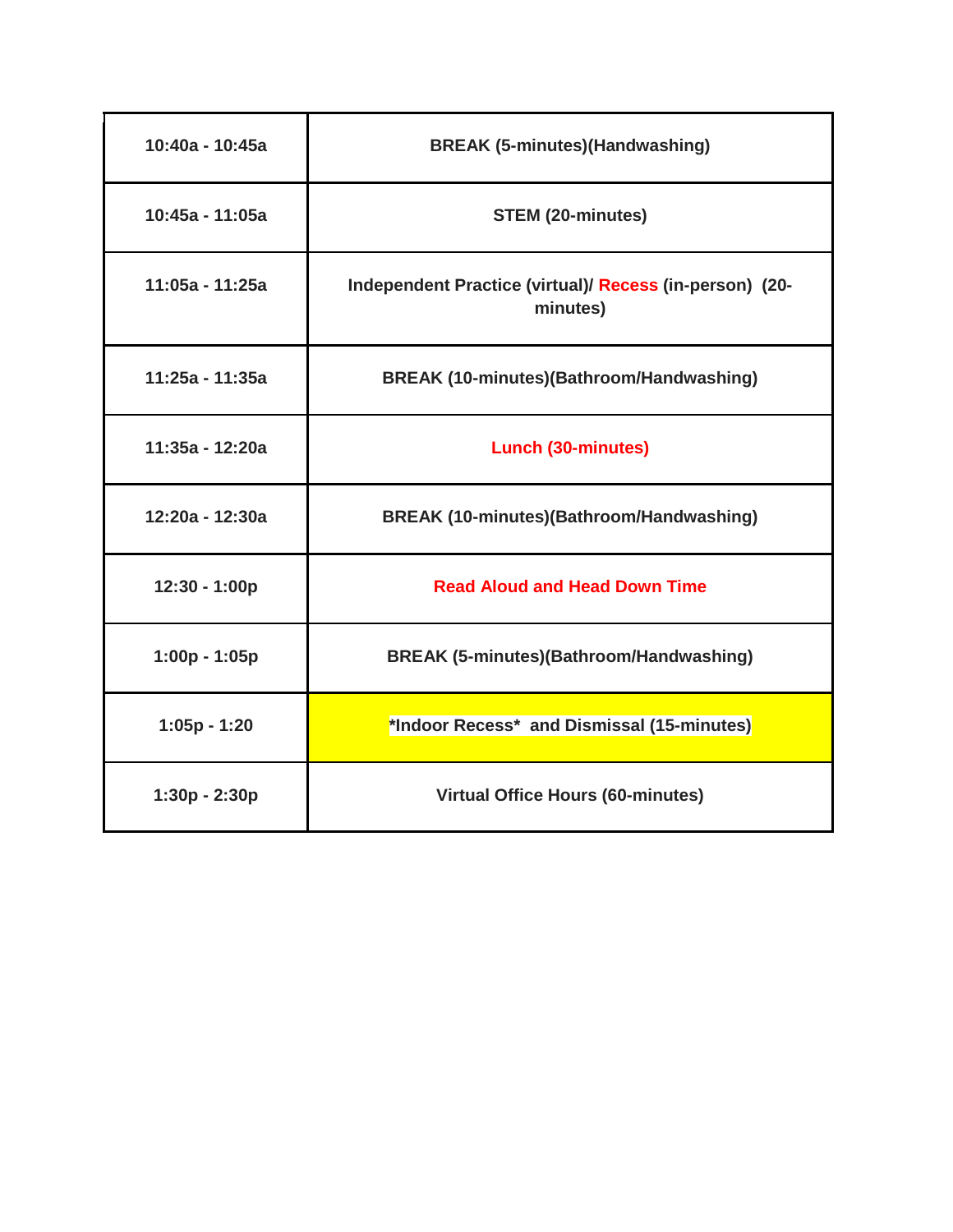| 10:40a - 10:45a | <b>BREAK (5-minutes)(Handwashing)</b>                               |
|-----------------|---------------------------------------------------------------------|
| 10:45a - 11:05a | <b>STEM (20-minutes)</b>                                            |
| 11:05a - 11:25a | Independent Practice (virtual)/ Recess (in-person) (20-<br>minutes) |
| 11:25a - 11:35a | <b>BREAK (10-minutes)(Bathroom/Handwashing)</b>                     |
| 11:35a - 12:20a | <b>Lunch (30-minutes)</b>                                           |
| 12:20a - 12:30a | <b>BREAK (10-minutes)(Bathroom/Handwashing)</b>                     |
| 12:30 - 1:00p   | <b>Read Aloud and Head Down Time</b>                                |
| 1:00p - 1:05p   | <b>BREAK (5-minutes)(Bathroom/Handwashing)</b>                      |
| $1:05p - 1:20$  | *Indoor Recess* and Dismissal (15-minutes)                          |
| 1:30p - 2:30p   | <b>Virtual Office Hours (60-minutes)</b>                            |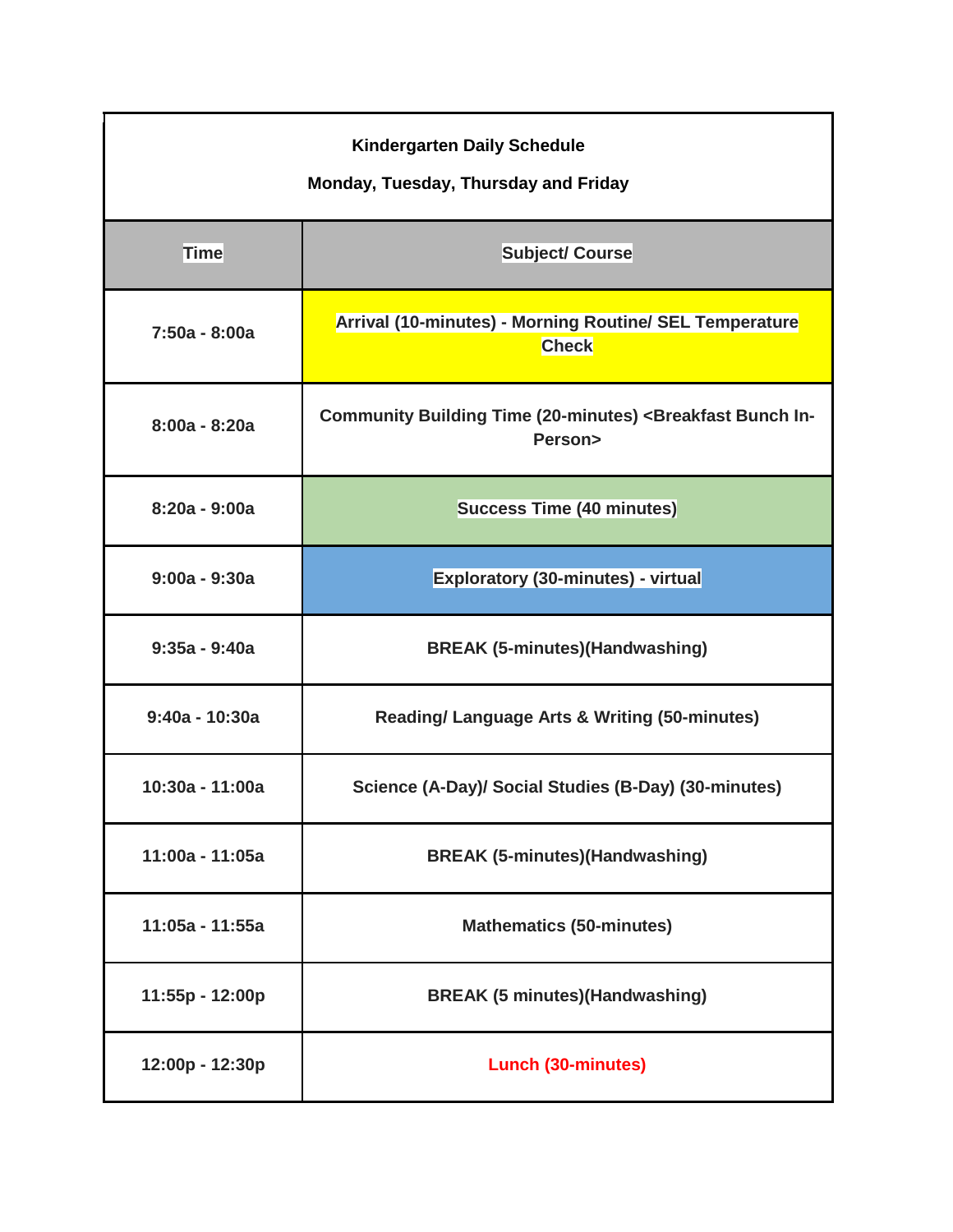| <b>Kindergarten Daily Schedule</b><br>Monday, Tuesday, Thursday and Friday |                                                                                           |
|----------------------------------------------------------------------------|-------------------------------------------------------------------------------------------|
| <b>Time</b>                                                                | <b>Subject/ Course</b>                                                                    |
| 7:50a - 8:00a                                                              | Arrival (10-minutes) - Morning Routine/ SEL Temperature<br><b>Check</b>                   |
| $8:00a - 8:20a$                                                            | Community Building Time (20-minutes) <breakfast bunch="" in-<br="">Person&gt;</breakfast> |
| $8:20a - 9:00a$                                                            | <b>Success Time (40 minutes)</b>                                                          |
| $9:00a - 9:30a$                                                            | Exploratory (30-minutes) - virtual                                                        |
| $9:35a - 9:40a$                                                            | <b>BREAK (5-minutes)(Handwashing)</b>                                                     |
| $9:40a - 10:30a$                                                           | <b>Reading/ Language Arts &amp; Writing (50-minutes)</b>                                  |
| 10:30a - 11:00a                                                            | Science (A-Day)/ Social Studies (B-Day) (30-minutes)                                      |
| 11:00a - 11:05a                                                            | <b>BREAK (5-minutes)(Handwashing)</b>                                                     |
| 11:05a - 11:55a                                                            | <b>Mathematics (50-minutes)</b>                                                           |
| 11:55p - 12:00p                                                            | <b>BREAK (5 minutes) (Handwashing)</b>                                                    |
| 12:00p - 12:30p                                                            | <b>Lunch (30-minutes)</b>                                                                 |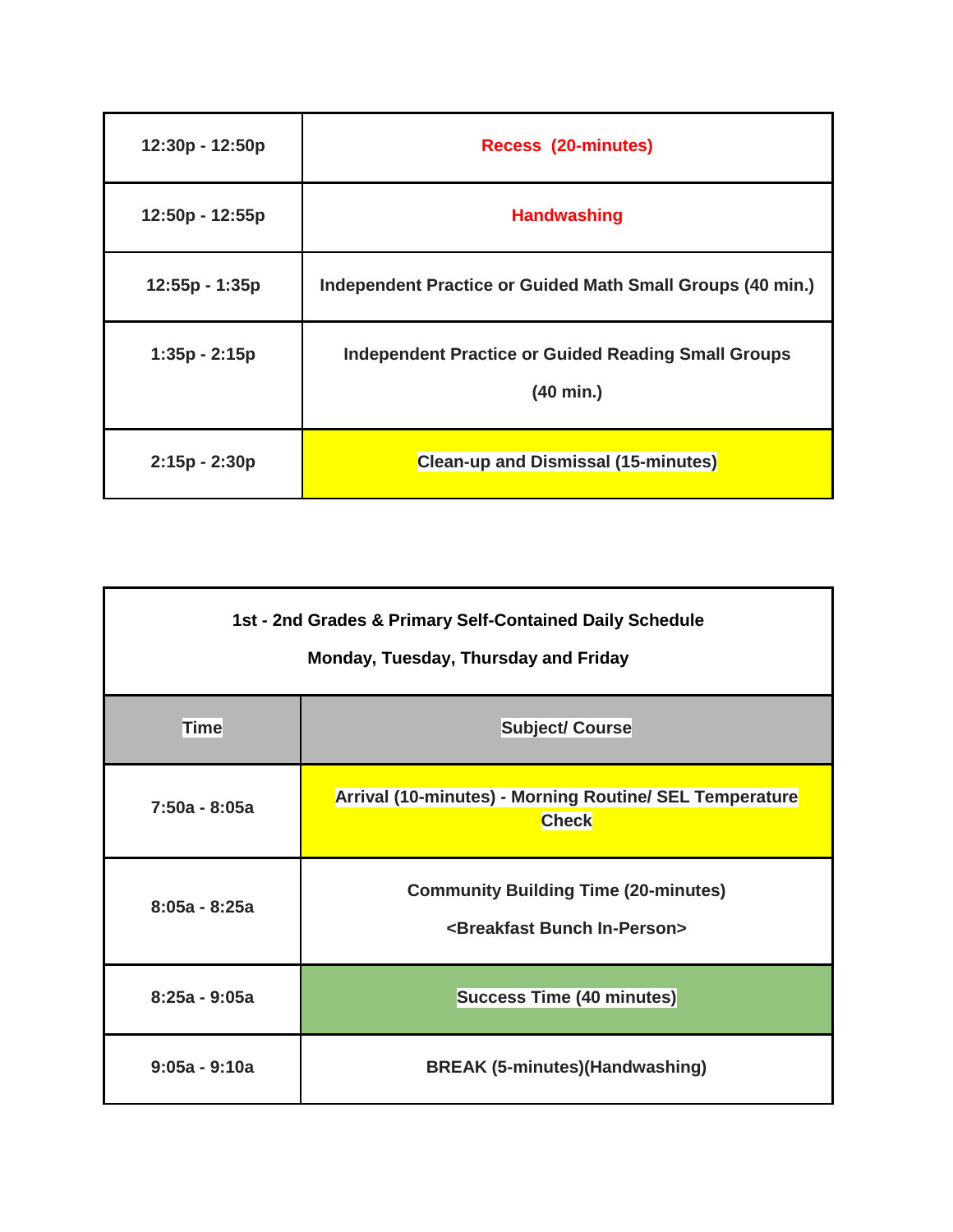| 12:30p - 12:50p | <b>Recess (20-minutes)</b>                                              |
|-----------------|-------------------------------------------------------------------------|
| 12:50p - 12:55p | <b>Handwashing</b>                                                      |
| 12:55p - 1:35p  | Independent Practice or Guided Math Small Groups (40 min.)              |
| $1:35p - 2:15p$ | <b>Independent Practice or Guided Reading Small Groups</b><br>(40 min.) |
| $2:15p - 2:30p$ | <b>Clean-up and Dismissal (15-minutes)</b>                              |

| 1st - 2nd Grades & Primary Self-Contained Daily Schedule<br>Monday, Tuesday, Thursday and Friday |                                                                                              |
|--------------------------------------------------------------------------------------------------|----------------------------------------------------------------------------------------------|
| Timel                                                                                            | <b>Subject/ Course</b>                                                                       |
| $7:50a - 8:05a$                                                                                  | <b>Arrival (10-minutes) - Morning Routine/ SEL Temperature</b><br><b>Check</b>               |
| $8:05a - 8:25a$                                                                                  | <b>Community Building Time (20-minutes)</b><br><breakfast bunch="" in-person=""></breakfast> |
| $8:25a - 9:05a$                                                                                  | <b>Success Time (40 minutes)</b>                                                             |
| $9:05a - 9:10a$                                                                                  | <b>BREAK (5-minutes) (Handwashing)</b>                                                       |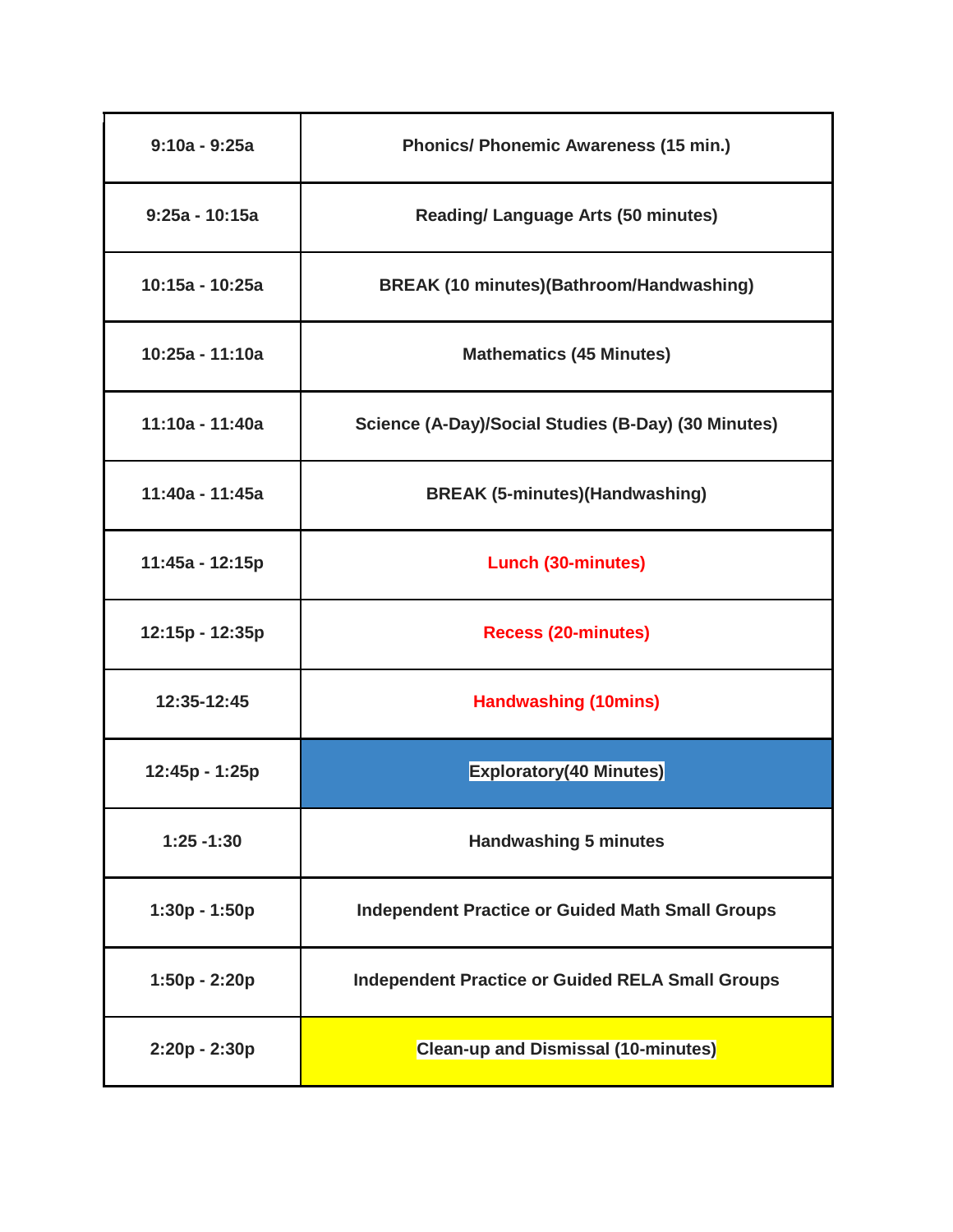| $9:10a - 9:25a$  | <b>Phonics/ Phonemic Awareness (15 min.)</b>            |
|------------------|---------------------------------------------------------|
| $9:25a - 10:15a$ | <b>Reading/ Language Arts (50 minutes)</b>              |
| 10:15a - 10:25a  | <b>BREAK (10 minutes)(Bathroom/Handwashing)</b>         |
| 10:25a - 11:10a  | <b>Mathematics (45 Minutes)</b>                         |
| 11:10a - 11:40a  | Science (A-Day)/Social Studies (B-Day) (30 Minutes)     |
| 11:40a - 11:45a  | <b>BREAK (5-minutes)(Handwashing)</b>                   |
| 11:45a - 12:15p  | <b>Lunch (30-minutes)</b>                               |
| 12:15p - 12:35p  | <b>Recess (20-minutes)</b>                              |
| 12:35-12:45      | <b>Handwashing (10mins)</b>                             |
| 12:45p - 1:25p   | <b>Exploratory(40 Minutes)</b>                          |
| $1:25 - 1:30$    | <b>Handwashing 5 minutes</b>                            |
| $1:30p - 1:50p$  | <b>Independent Practice or Guided Math Small Groups</b> |
| 1:50p - 2:20p    | <b>Independent Practice or Guided RELA Small Groups</b> |
| 2:20p - 2:30p    | <b>Clean-up and Dismissal (10-minutes)</b>              |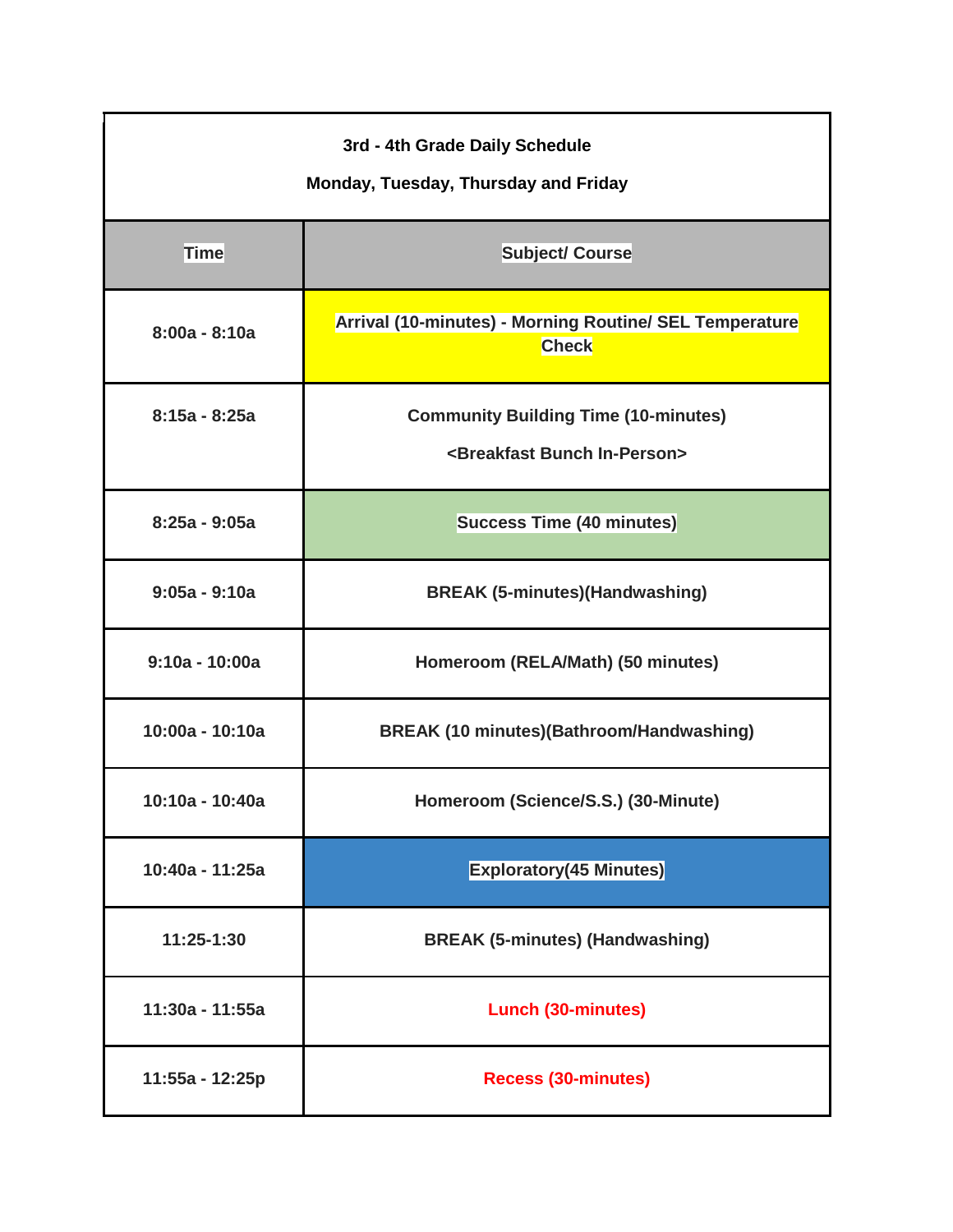| 3rd - 4th Grade Daily Schedule<br>Monday, Tuesday, Thursday and Friday |                                                                                              |  |
|------------------------------------------------------------------------|----------------------------------------------------------------------------------------------|--|
| <b>Time</b>                                                            | <b>Subject/ Course</b>                                                                       |  |
| $8:00a - 8:10a$                                                        | Arrival (10-minutes) - Morning Routine/ SEL Temperature<br><b>Check</b>                      |  |
| $8:15a - 8:25a$                                                        | <b>Community Building Time (10-minutes)</b><br><breakfast bunch="" in-person=""></breakfast> |  |
| $8:25a - 9:05a$                                                        | <b>Success Time (40 minutes)</b>                                                             |  |
| $9:05a - 9:10a$                                                        | <b>BREAK (5-minutes)(Handwashing)</b>                                                        |  |
| $9:10a - 10:00a$                                                       | Homeroom (RELA/Math) (50 minutes)                                                            |  |
| 10:00a - 10:10a                                                        | <b>BREAK (10 minutes)(Bathroom/Handwashing)</b>                                              |  |
| 10:10a - 10:40a                                                        | Homeroom (Science/S.S.) (30-Minute)                                                          |  |
| 10:40a - 11:25a                                                        | <b>Exploratory(45 Minutes)</b>                                                               |  |
| 11:25-1:30                                                             | <b>BREAK (5-minutes) (Handwashing)</b>                                                       |  |
| 11:30a - 11:55a                                                        | <b>Lunch (30-minutes)</b>                                                                    |  |
| 11:55a - 12:25p                                                        | <b>Recess (30-minutes)</b>                                                                   |  |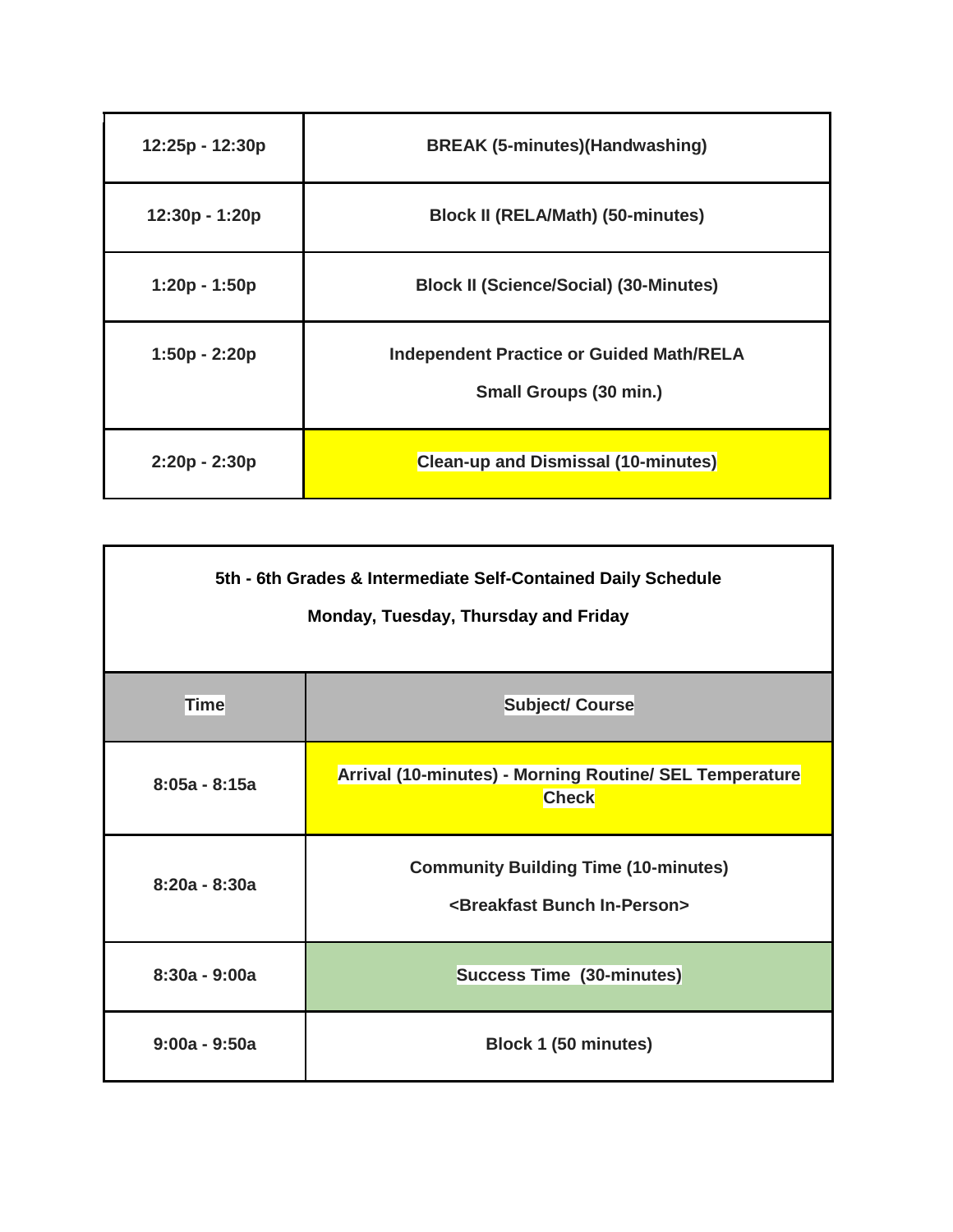| 12:25p - 12:30p | <b>BREAK (5-minutes)(Handwashing)</b>                                            |
|-----------------|----------------------------------------------------------------------------------|
| 12:30p - 1:20p  | <b>Block II (RELA/Math) (50-minutes)</b>                                         |
| 1:20p - 1:50p   | <b>Block II (Science/Social) (30-Minutes)</b>                                    |
| 1:50p - 2:20p   | <b>Independent Practice or Guided Math/RELA</b><br><b>Small Groups (30 min.)</b> |
| $2:20p - 2:30p$ | <b>Clean-up and Dismissal (10-minutes)</b>                                       |

| 5th - 6th Grades & Intermediate Self-Contained Daily Schedule<br>Monday, Tuesday, Thursday and Friday |                                                                                              |
|-------------------------------------------------------------------------------------------------------|----------------------------------------------------------------------------------------------|
| Time                                                                                                  | <b>Subject/ Course</b>                                                                       |
| $8:05a - 8:15a$                                                                                       | Arrival (10-minutes) - Morning Routine/ SEL Temperature<br><b>Check</b>                      |
| $8:20a - 8:30a$                                                                                       | <b>Community Building Time (10-minutes)</b><br><breakfast bunch="" in-person=""></breakfast> |
| $8:30a - 9:00a$                                                                                       | <b>Success Time (30-minutes)</b>                                                             |
| $9:00a - 9:50a$                                                                                       | Block 1 (50 minutes)                                                                         |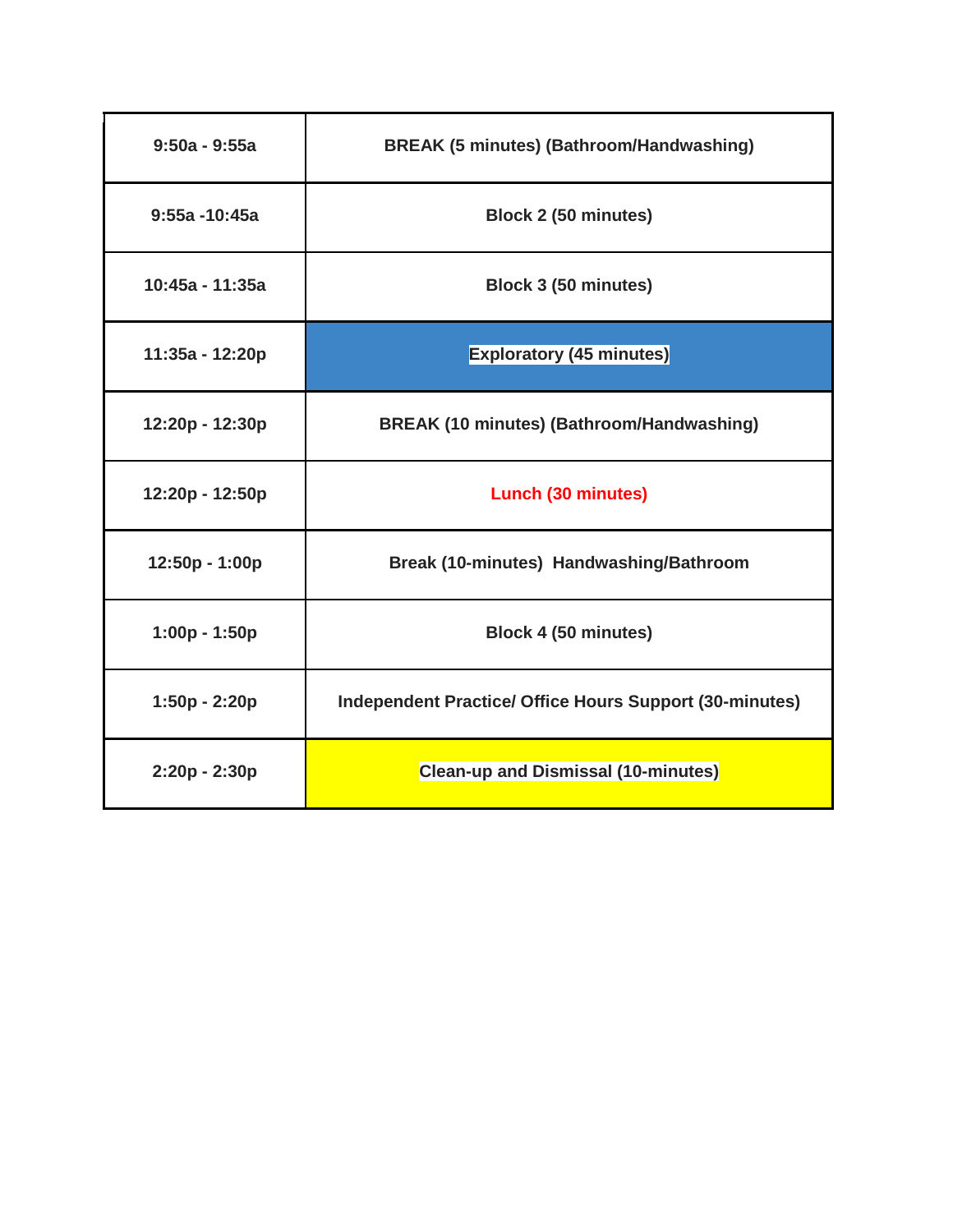| $9:50a - 9:55a$  | <b>BREAK (5 minutes) (Bathroom/Handwashing)</b>                |
|------------------|----------------------------------------------------------------|
| $9:55a - 10:45a$ | Block 2 (50 minutes)                                           |
| 10:45a - 11:35a  | Block 3 (50 minutes)                                           |
| 11:35a - 12:20p  | <b>Exploratory (45 minutes)</b>                                |
| 12:20p - 12:30p  | <b>BREAK (10 minutes) (Bathroom/Handwashing)</b>               |
| 12:20p - 12:50p  | <b>Lunch (30 minutes)</b>                                      |
| 12:50p - 1:00p   | Break (10-minutes) Handwashing/Bathroom                        |
| $1:00p - 1:50p$  | Block 4 (50 minutes)                                           |
| $1:50p - 2:20p$  | <b>Independent Practice/ Office Hours Support (30-minutes)</b> |
| 2:20p - 2:30p    | <b>Clean-up and Dismissal (10-minutes)</b>                     |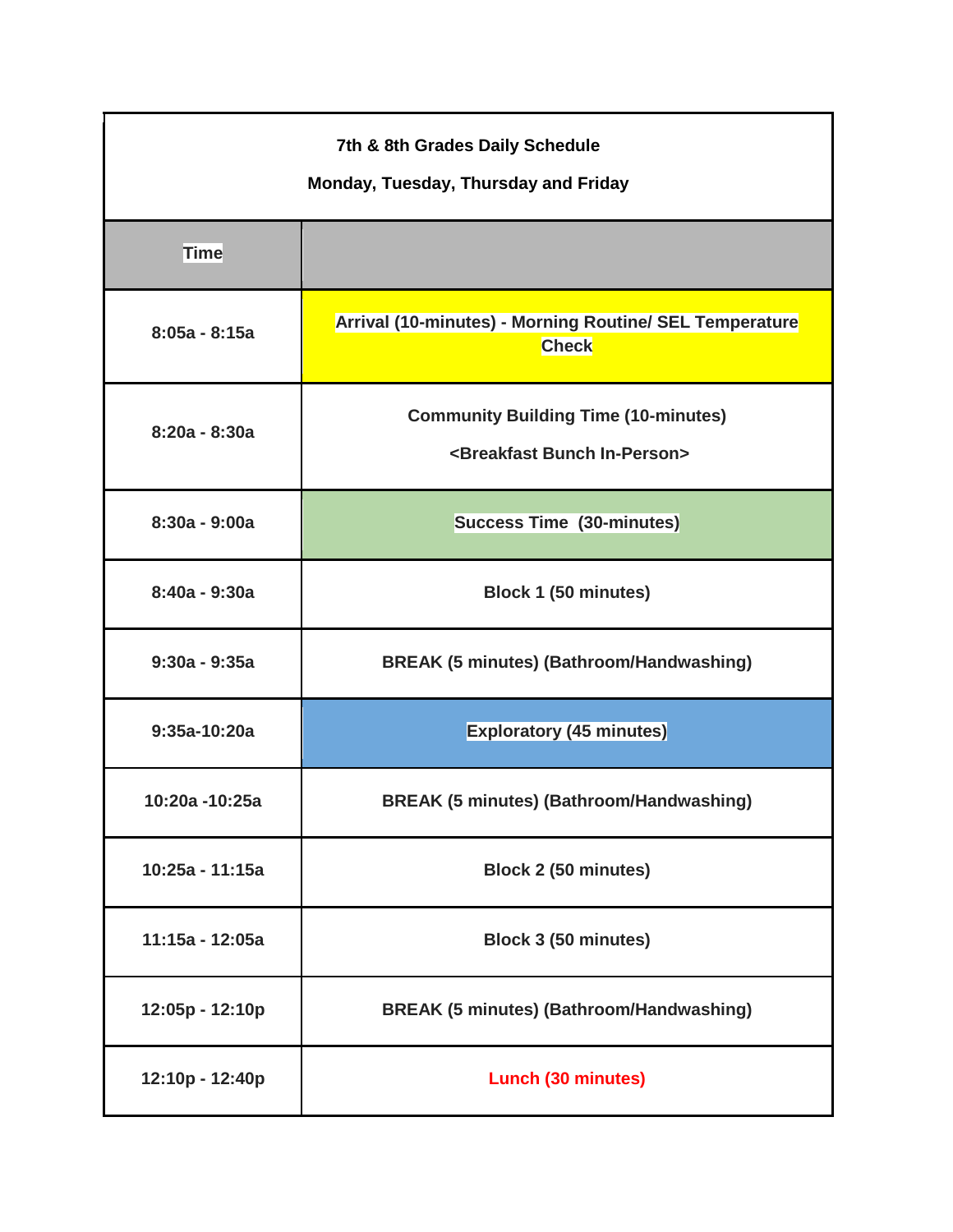| 7th & 8th Grades Daily Schedule<br>Monday, Tuesday, Thursday and Friday |                                                                                              |  |
|-------------------------------------------------------------------------|----------------------------------------------------------------------------------------------|--|
| <b>Time</b>                                                             |                                                                                              |  |
| $8:05a - 8:15a$                                                         | Arrival (10-minutes) - Morning Routine/ SEL Temperature<br>Check                             |  |
| $8:20a - 8:30a$                                                         | <b>Community Building Time (10-minutes)</b><br><breakfast bunch="" in-person=""></breakfast> |  |
| $8:30a - 9:00a$                                                         | <b>Success Time (30-minutes)</b>                                                             |  |
| 8:40a - 9:30a                                                           | Block 1 (50 minutes)                                                                         |  |
| $9:30a - 9:35a$                                                         | <b>BREAK (5 minutes) (Bathroom/Handwashing)</b>                                              |  |
| $9:35a-10:20a$                                                          | <b>Exploratory (45 minutes)</b>                                                              |  |
| 10:20a -10:25a                                                          | <b>BREAK (5 minutes) (Bathroom/Handwashing)</b>                                              |  |
| 10:25a - 11:15a                                                         | <b>Block 2 (50 minutes)</b>                                                                  |  |
| 11:15a - 12:05a                                                         | Block 3 (50 minutes)                                                                         |  |
| 12:05p - 12:10p                                                         | <b>BREAK (5 minutes) (Bathroom/Handwashing)</b>                                              |  |
| 12:10p - 12:40p                                                         | <b>Lunch (30 minutes)</b>                                                                    |  |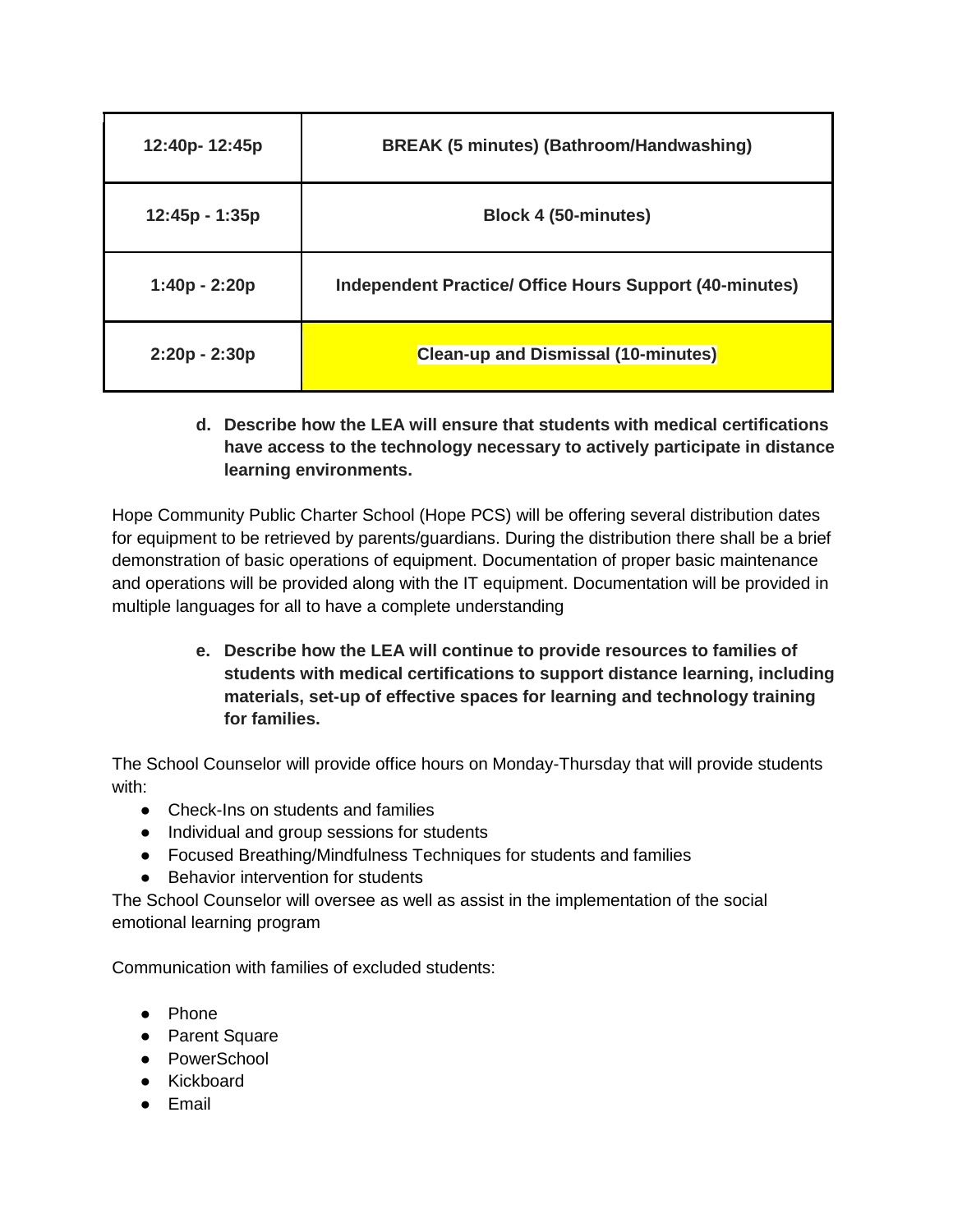| 12:40p-12:45p   | <b>BREAK (5 minutes) (Bathroom/Handwashing)</b>                |
|-----------------|----------------------------------------------------------------|
| 12:45p - 1:35p  | <b>Block 4 (50-minutes)</b>                                    |
| 1:40p - 2:20p   | <b>Independent Practice/ Office Hours Support (40-minutes)</b> |
| $2:20p - 2:30p$ | <b>Clean-up and Dismissal (10-minutes)</b>                     |

# **d. Describe how the LEA will ensure that students with medical certifications have access to the technology necessary to actively participate in distance learning environments.**

Hope Community Public Charter School (Hope PCS) will be offering several distribution dates for equipment to be retrieved by parents/guardians. During the distribution there shall be a brief demonstration of basic operations of equipment. Documentation of proper basic maintenance and operations will be provided along with the IT equipment. Documentation will be provided in multiple languages for all to have a complete understanding

> **e. Describe how the LEA will continue to provide resources to families of students with medical certifications to support distance learning, including materials, set-up of effective spaces for learning and technology training for families.**

The School Counselor will provide office hours on Monday-Thursday that will provide students with:

- Check-Ins on students and families
- Individual and group sessions for students
- Focused Breathing/Mindfulness Techniques for students and families
- Behavior intervention for students

The School Counselor will oversee as well as assist in the implementation of the social emotional learning program

Communication with families of excluded students:

- Phone
- Parent Square
- PowerSchool
- Kickboard
- Email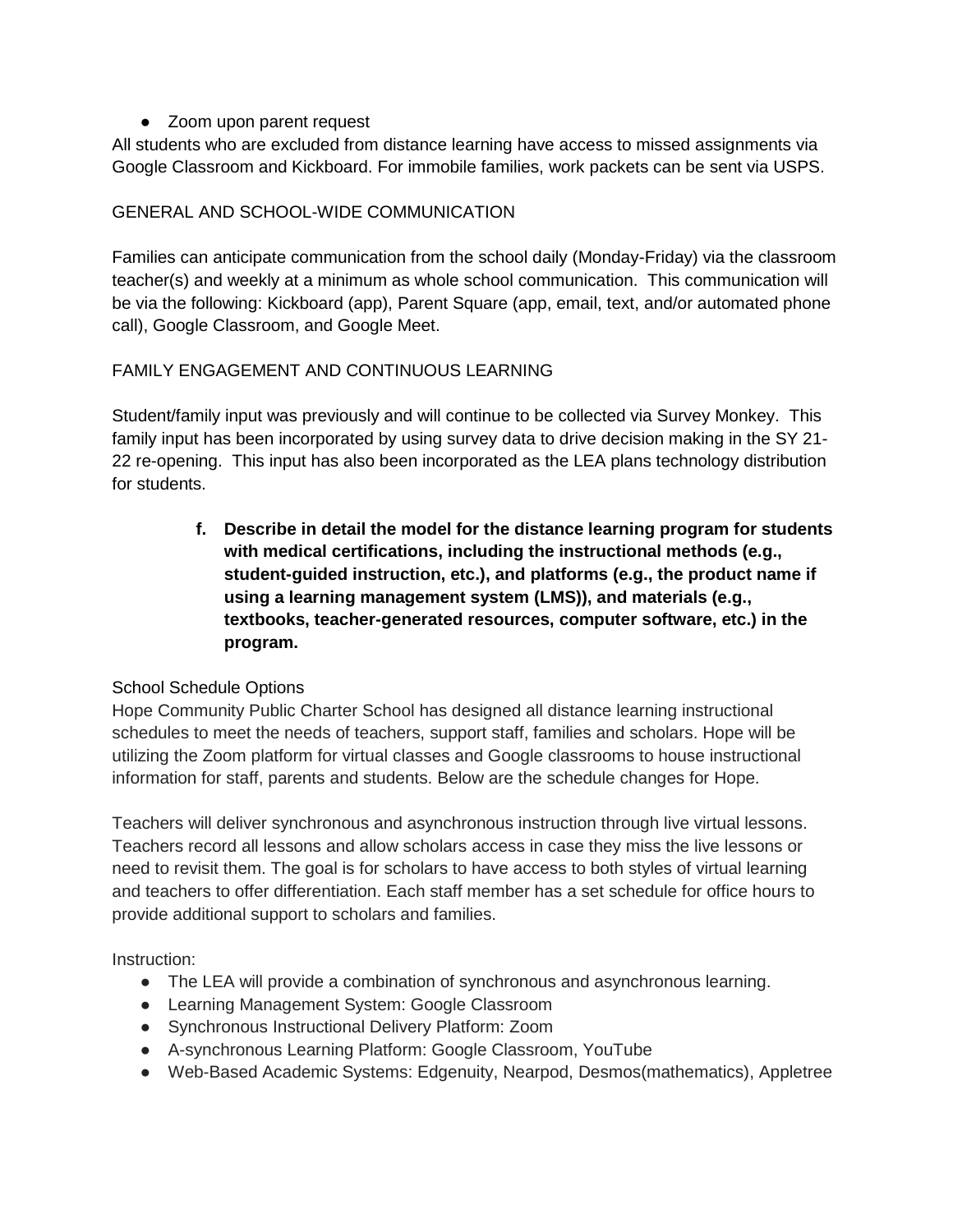• Zoom upon parent request

All students who are excluded from distance learning have access to missed assignments via Google Classroom and Kickboard. For immobile families, work packets can be sent via USPS.

# GENERAL AND SCHOOL-WIDE COMMUNICATION

Families can anticipate communication from the school daily (Monday-Friday) via the classroom teacher(s) and weekly at a minimum as whole school communication. This communication will be via the following: Kickboard (app), Parent Square (app, email, text, and/or automated phone call), Google Classroom, and Google Meet.

# FAMILY ENGAGEMENT AND CONTINUOUS LEARNING

Student/family input was previously and will continue to be collected via Survey Monkey. This family input has been incorporated by using survey data to drive decision making in the SY 21- 22 re-opening. This input has also been incorporated as the LEA plans technology distribution for students.

> **f. Describe in detail the model for the distance learning program for students with medical certifications, including the instructional methods (e.g., student-guided instruction, etc.), and platforms (e.g., the product name if using a learning management system (LMS)), and materials (e.g., textbooks, teacher-generated resources, computer software, etc.) in the program.**

# School Schedule Options

Hope Community Public Charter School has designed all distance learning instructional schedules to meet the needs of teachers, support staff, families and scholars. Hope will be utilizing the Zoom platform for virtual classes and Google classrooms to house instructional information for staff, parents and students. Below are the schedule changes for Hope.

Teachers will deliver synchronous and asynchronous instruction through live virtual lessons. Teachers record all lessons and allow scholars access in case they miss the live lessons or need to revisit them. The goal is for scholars to have access to both styles of virtual learning and teachers to offer differentiation. Each staff member has a set schedule for office hours to provide additional support to scholars and families.

Instruction:

- The LEA will provide a combination of synchronous and asynchronous learning.
- Learning Management System: Google Classroom
- Synchronous Instructional Delivery Platform: Zoom
- A-synchronous Learning Platform: Google Classroom, YouTube
- Web-Based Academic Systems: Edgenuity, Nearpod, Desmos(mathematics), Appletree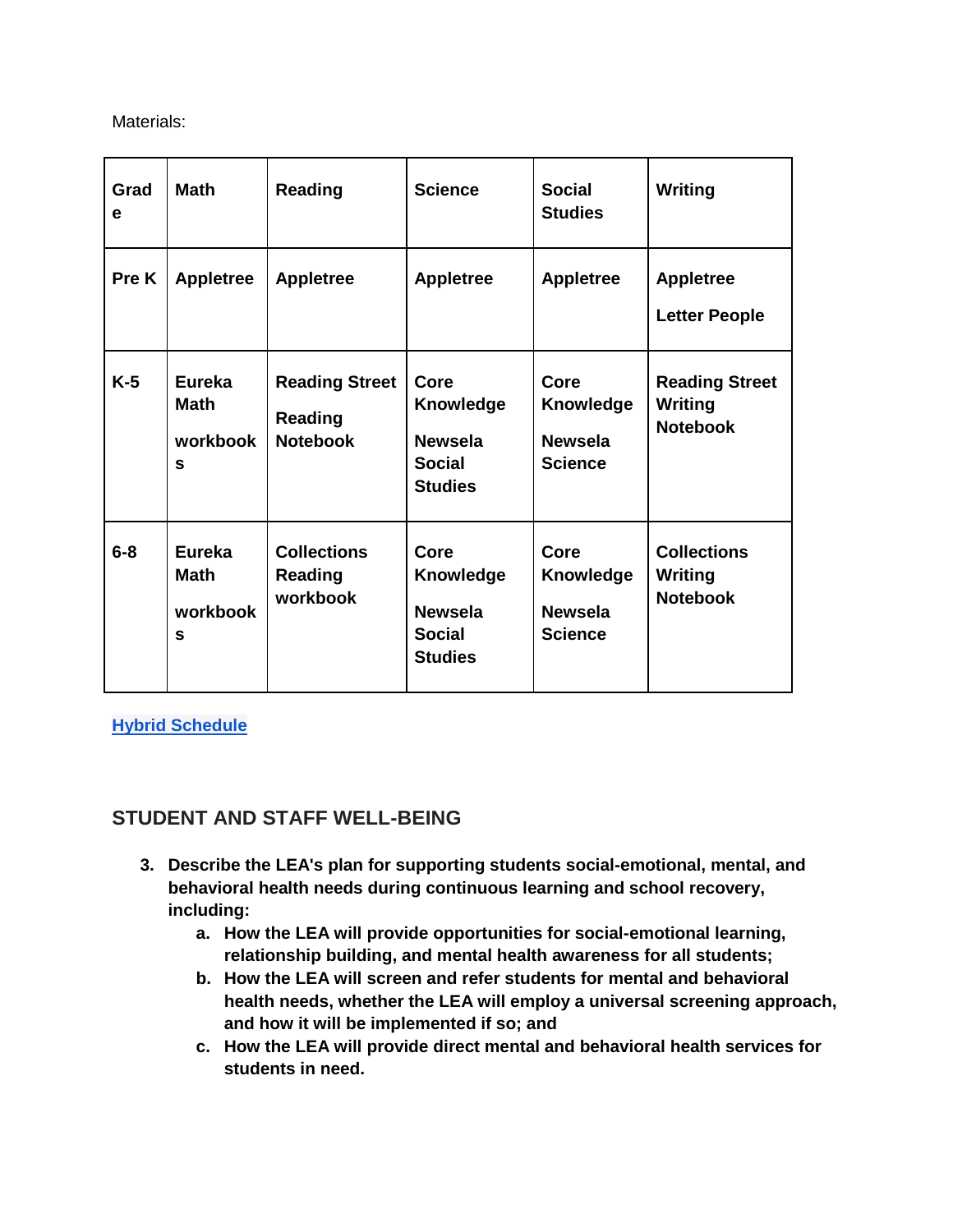Materials:

| Grad<br>e | <b>Math</b>                                   | <b>Reading</b>                                             | <b>Science</b>                                                                | <b>Social</b><br><b>Studies</b>                              | Writing                                             |  |
|-----------|-----------------------------------------------|------------------------------------------------------------|-------------------------------------------------------------------------------|--------------------------------------------------------------|-----------------------------------------------------|--|
| Pre K     | <b>Appletree</b>                              | <b>Appletree</b>                                           | <b>Appletree</b>                                                              | <b>Appletree</b>                                             | <b>Appletree</b><br><b>Letter People</b>            |  |
| $K-5$     | Eureka<br><b>Math</b><br>workbook<br>S        | <b>Reading Street</b><br><b>Reading</b><br><b>Notebook</b> | Core<br><b>Knowledge</b><br><b>Newsela</b><br>Social<br><b>Studies</b>        | Core<br><b>Knowledge</b><br><b>Newsela</b><br><b>Science</b> | <b>Reading Street</b><br>Writing<br><b>Notebook</b> |  |
| $6-8$     | <b>Eureka</b><br><b>Math</b><br>workbook<br>S | <b>Collections</b><br><b>Reading</b><br>workbook           | Core<br><b>Knowledge</b><br><b>Newsela</b><br><b>Social</b><br><b>Studies</b> | Core<br><b>Knowledge</b><br><b>Newsela</b><br><b>Science</b> | <b>Collections</b><br>Writing<br><b>Notebook</b>    |  |

**[Hybrid Schedule](https://drive.google.com/file/d/16FWkqkYI0pL3epPultvioPe2w6nW2GYY/view?usp=sharing)**

# **STUDENT AND STAFF WELL-BEING**

- **3. Describe the LEA's plan for supporting students social-emotional, mental, and behavioral health needs during continuous learning and school recovery, including:**
	- **a. How the LEA will provide opportunities for social-emotional learning, relationship building, and mental health awareness for all students;**
	- **b. How the LEA will screen and refer students for mental and behavioral health needs, whether the LEA will employ a universal screening approach, and how it will be implemented if so; and**
	- **c. How the LEA will provide direct mental and behavioral health services for students in need.**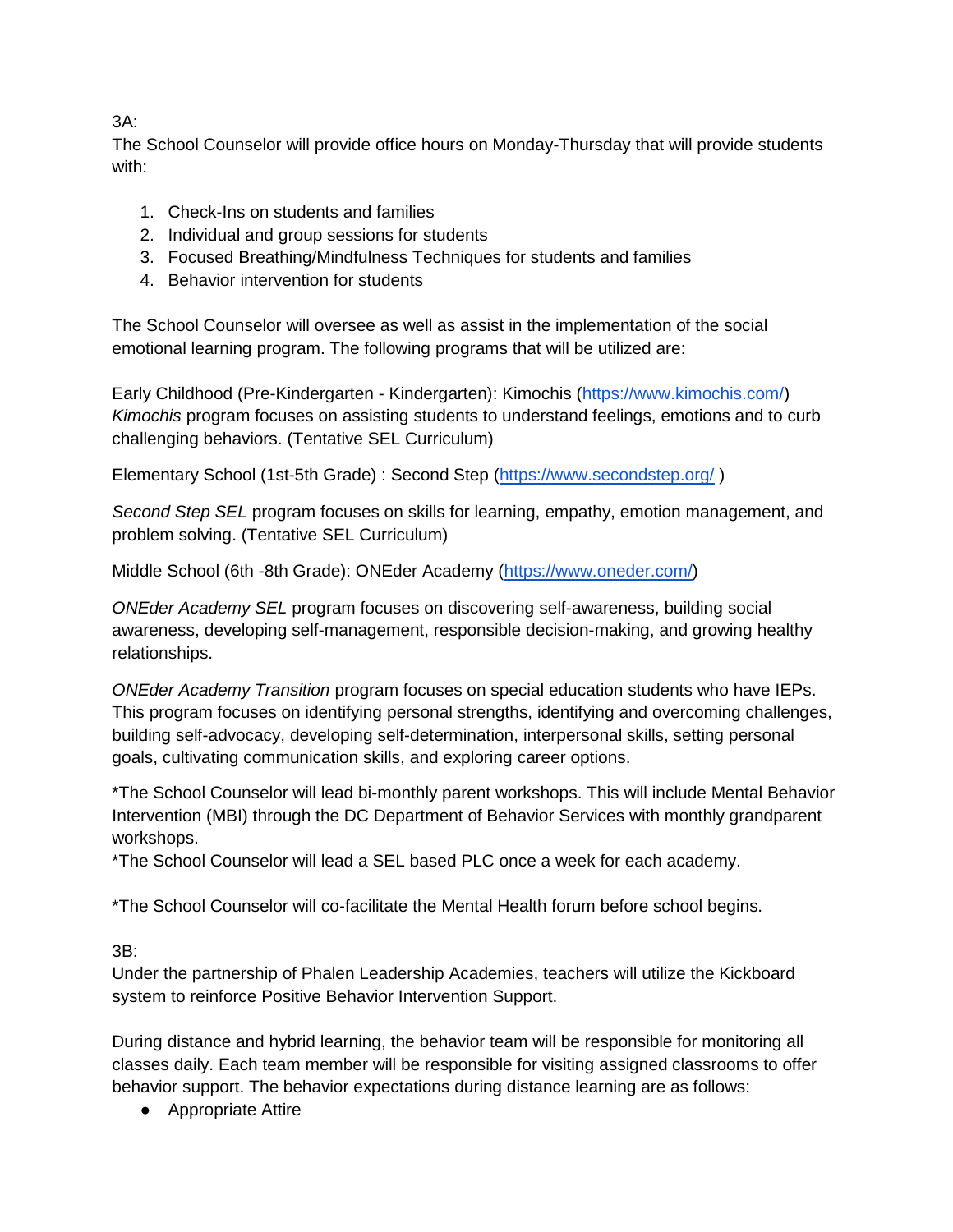3A:

The School Counselor will provide office hours on Monday-Thursday that will provide students with:

- 1. Check-Ins on students and families
- 2. Individual and group sessions for students
- 3. Focused Breathing/Mindfulness Techniques for students and families
- 4. Behavior intervention for students

The School Counselor will oversee as well as assist in the implementation of the social emotional learning program. The following programs that will be utilized are:

Early Childhood (Pre-Kindergarten - Kindergarten): Kimochis [\(https://www.kimochis.com/\)](https://www.kimochis.com/) *Kimochis* program focuses on assisting students to understand feelings, emotions and to curb challenging behaviors. (Tentative SEL Curriculum)

Elementary School (1st-5th Grade) : Second Step [\(https://www.secondstep.org/](https://www.secondstep.org/) )

*Second Step SEL* program focuses on skills for learning, empathy, emotion management, and problem solving. (Tentative SEL Curriculum)

Middle School (6th -8th Grade): ONEder Academy [\(https://www.oneder.com/\)](https://www.oneder.com/)

*ONEder Academy SEL* program focuses on discovering self-awareness, building social awareness, developing self-management, responsible decision-making, and growing healthy relationships.

*ONEder Academy Transition* program focuses on special education students who have IEPs. This program focuses on identifying personal strengths, identifying and overcoming challenges, building self-advocacy, developing self-determination, interpersonal skills, setting personal goals, cultivating communication skills, and exploring career options.

\*The School Counselor will lead bi-monthly parent workshops. This will include Mental Behavior Intervention (MBI) through the DC Department of Behavior Services with monthly grandparent workshops.

\*The School Counselor will lead a SEL based PLC once a week for each academy.

\*The School Counselor will co-facilitate the Mental Health forum before school begins.

3B:

Under the partnership of Phalen Leadership Academies, teachers will utilize the Kickboard system to reinforce Positive Behavior Intervention Support.

During distance and hybrid learning, the behavior team will be responsible for monitoring all classes daily. Each team member will be responsible for visiting assigned classrooms to offer behavior support. The behavior expectations during distance learning are as follows:

● Appropriate Attire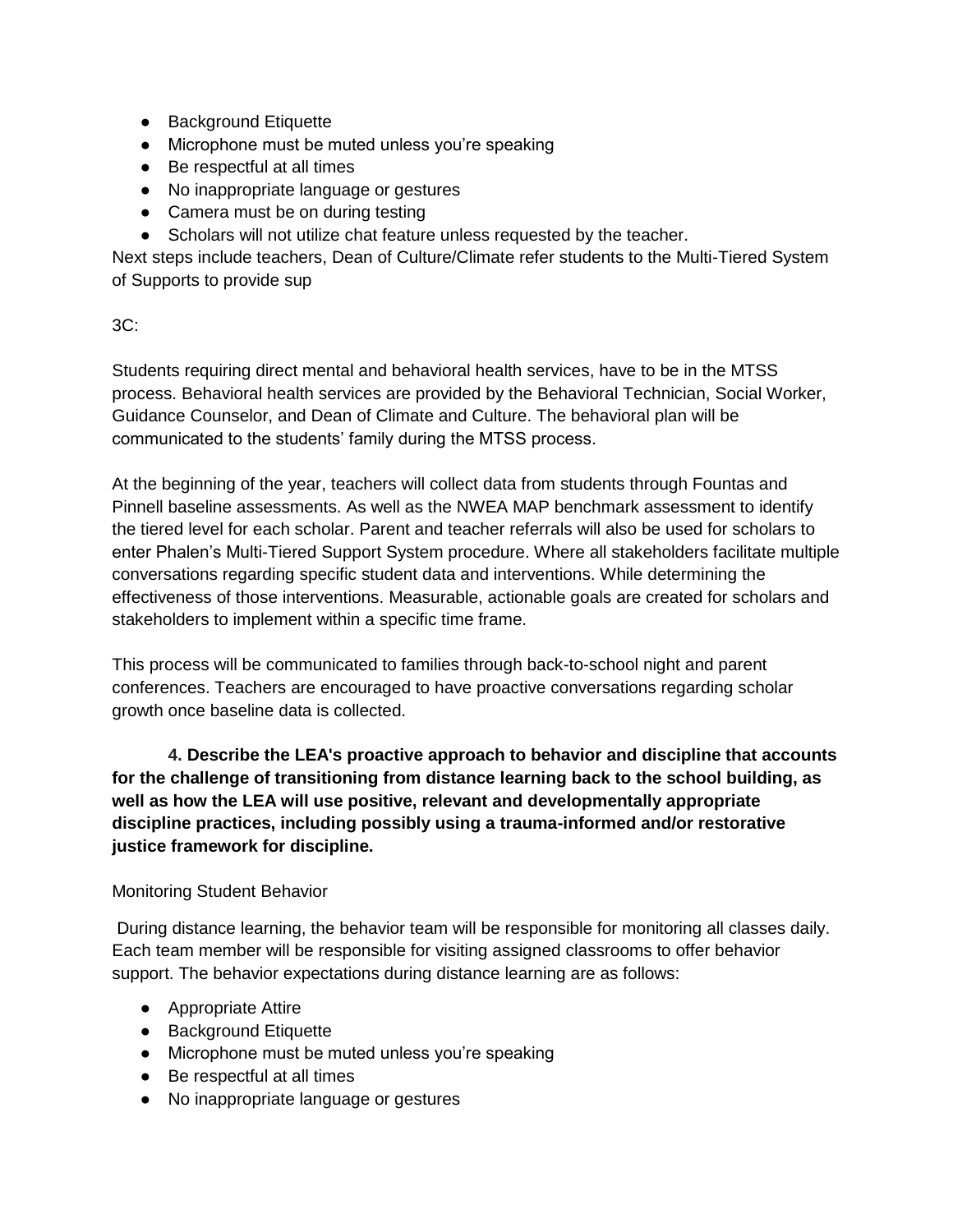- Background Etiquette
- Microphone must be muted unless you're speaking
- Be respectful at all times
- No inappropriate language or gestures
- Camera must be on during testing
- Scholars will not utilize chat feature unless requested by the teacher.

Next steps include teachers, Dean of Culture/Climate refer students to the Multi-Tiered System of Supports to provide sup

# 3C:

Students requiring direct mental and behavioral health services, have to be in the MTSS process. Behavioral health services are provided by the Behavioral Technician, Social Worker, Guidance Counselor, and Dean of Climate and Culture. The behavioral plan will be communicated to the students' family during the MTSS process.

At the beginning of the year, teachers will collect data from students through Fountas and Pinnell baseline assessments. As well as the NWEA MAP benchmark assessment to identify the tiered level for each scholar. Parent and teacher referrals will also be used for scholars to enter Phalen's Multi-Tiered Support System procedure. Where all stakeholders facilitate multiple conversations regarding specific student data and interventions. While determining the effectiveness of those interventions. Measurable, actionable goals are created for scholars and stakeholders to implement within a specific time frame.

This process will be communicated to families through back-to-school night and parent conferences. Teachers are encouraged to have proactive conversations regarding scholar growth once baseline data is collected.

**4. Describe the LEA's proactive approach to behavior and discipline that accounts for the challenge of transitioning from distance learning back to the school building, as well as how the LEA will use positive, relevant and developmentally appropriate discipline practices, including possibly using a trauma-informed and/or restorative justice framework for discipline.**

# Monitoring Student Behavior

During distance learning, the behavior team will be responsible for monitoring all classes daily. Each team member will be responsible for visiting assigned classrooms to offer behavior support. The behavior expectations during distance learning are as follows:

- Appropriate Attire
- Background Etiquette
- Microphone must be muted unless you're speaking
- Be respectful at all times
- No inappropriate language or gestures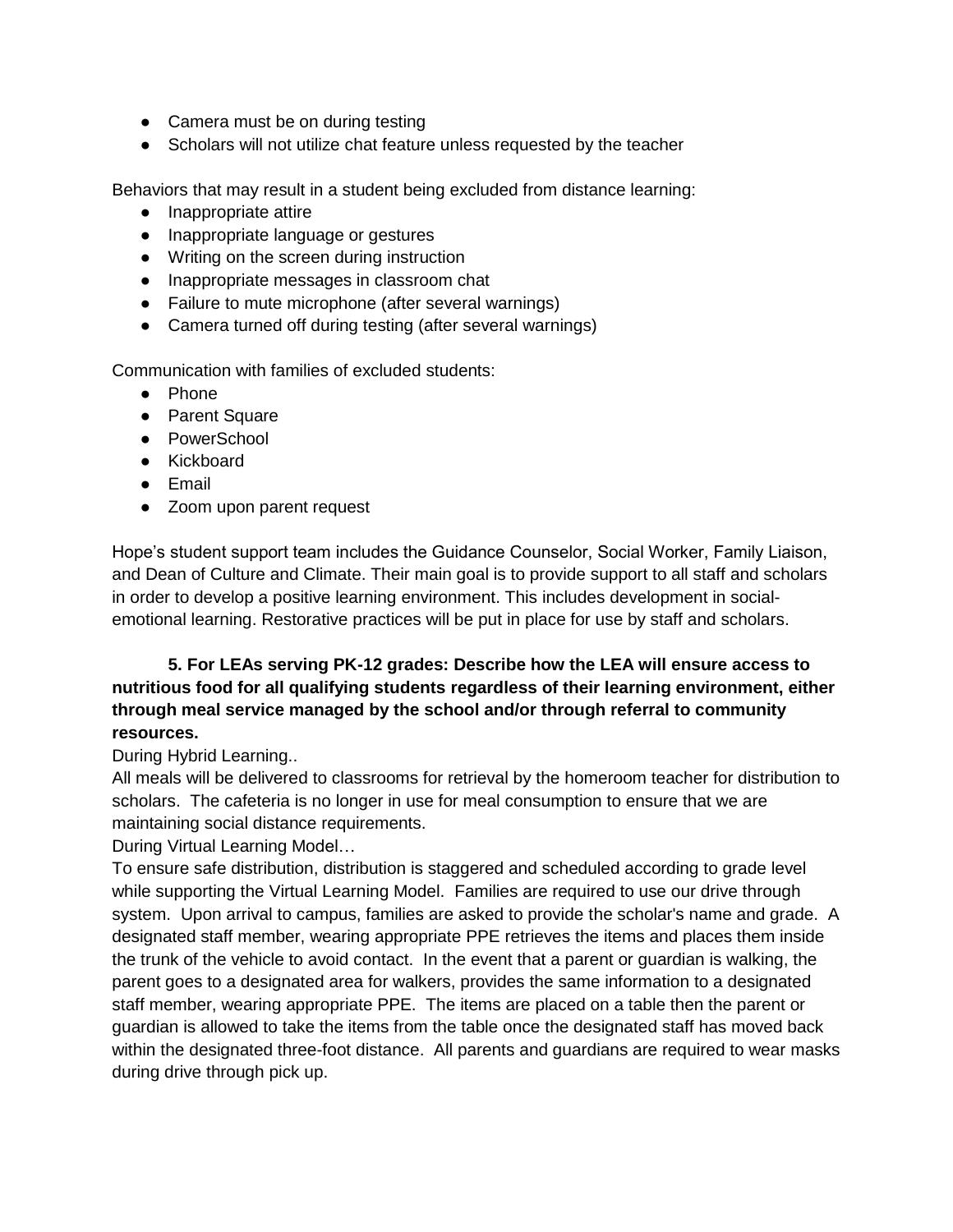- Camera must be on during testing
- Scholars will not utilize chat feature unless requested by the teacher

Behaviors that may result in a student being excluded from distance learning:

- Inappropriate attire
- Inappropriate language or gestures
- Writing on the screen during instruction
- Inappropriate messages in classroom chat
- Failure to mute microphone (after several warnings)
- Camera turned off during testing (after several warnings)

Communication with families of excluded students:

- Phone
- Parent Square
- PowerSchool
- Kickboard
- Email
- Zoom upon parent request

Hope's student support team includes the Guidance Counselor, Social Worker, Family Liaison, and Dean of Culture and Climate. Their main goal is to provide support to all staff and scholars in order to develop a positive learning environment. This includes development in socialemotional learning. Restorative practices will be put in place for use by staff and scholars.

# **5. For LEAs serving PK-12 grades: Describe how the LEA will ensure access to nutritious food for all qualifying students regardless of their learning environment, either through meal service managed by the school and/or through referral to community resources.**

#### During Hybrid Learning..

All meals will be delivered to classrooms for retrieval by the homeroom teacher for distribution to scholars. The cafeteria is no longer in use for meal consumption to ensure that we are maintaining social distance requirements.

During Virtual Learning Model…

To ensure safe distribution, distribution is staggered and scheduled according to grade level while supporting the Virtual Learning Model. Families are required to use our drive through system. Upon arrival to campus, families are asked to provide the scholar's name and grade. A designated staff member, wearing appropriate PPE retrieves the items and places them inside the trunk of the vehicle to avoid contact. In the event that a parent or guardian is walking, the parent goes to a designated area for walkers, provides the same information to a designated staff member, wearing appropriate PPE. The items are placed on a table then the parent or guardian is allowed to take the items from the table once the designated staff has moved back within the designated three-foot distance. All parents and guardians are required to wear masks during drive through pick up.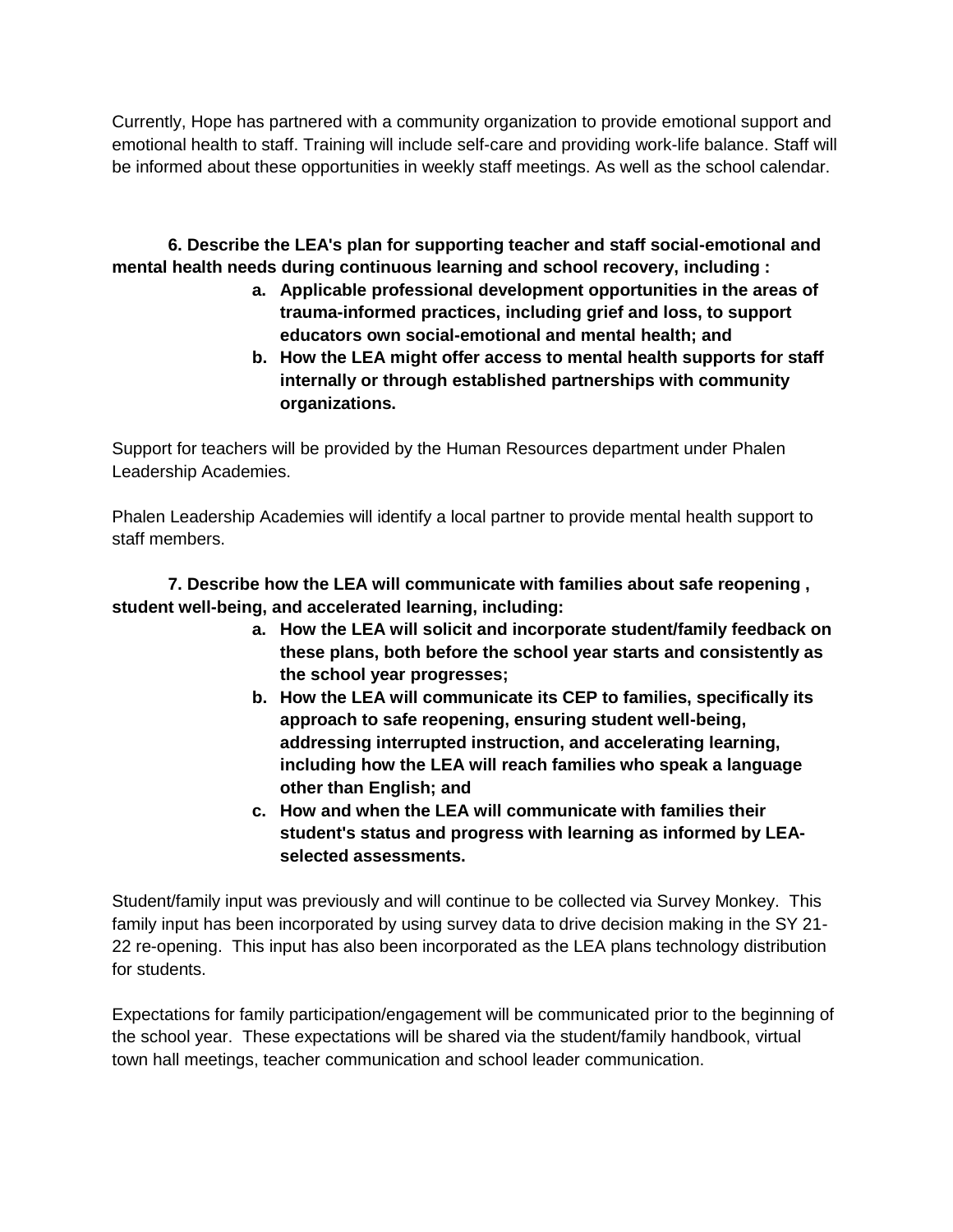Currently, Hope has partnered with a community organization to provide emotional support and emotional health to staff. Training will include self-care and providing work-life balance. Staff will be informed about these opportunities in weekly staff meetings. As well as the school calendar.

**6. Describe the LEA's plan for supporting teacher and staff social-emotional and mental health needs during continuous learning and school recovery, including :**

- **a. Applicable professional development opportunities in the areas of trauma-informed practices, including grief and loss, to support educators own social-emotional and mental health; and**
- **b. How the LEA might offer access to mental health supports for staff internally or through established partnerships with community organizations.**

Support for teachers will be provided by the Human Resources department under Phalen Leadership Academies.

Phalen Leadership Academies will identify a local partner to provide mental health support to staff members.

**7. Describe how the LEA will communicate with families about safe reopening , student well-being, and accelerated learning, including:**

- **a. How the LEA will solicit and incorporate student/family feedback on these plans, both before the school year starts and consistently as the school year progresses;**
- **b. How the LEA will communicate its CEP to families, specifically its approach to safe reopening, ensuring student well-being, addressing interrupted instruction, and accelerating learning, including how the LEA will reach families who speak a language other than English; and**
- **c. How and when the LEA will communicate with families their student's status and progress with learning as informed by LEAselected assessments.**

Student/family input was previously and will continue to be collected via Survey Monkey. This family input has been incorporated by using survey data to drive decision making in the SY 21- 22 re-opening. This input has also been incorporated as the LEA plans technology distribution for students.

Expectations for family participation/engagement will be communicated prior to the beginning of the school year. These expectations will be shared via the student/family handbook, virtual town hall meetings, teacher communication and school leader communication.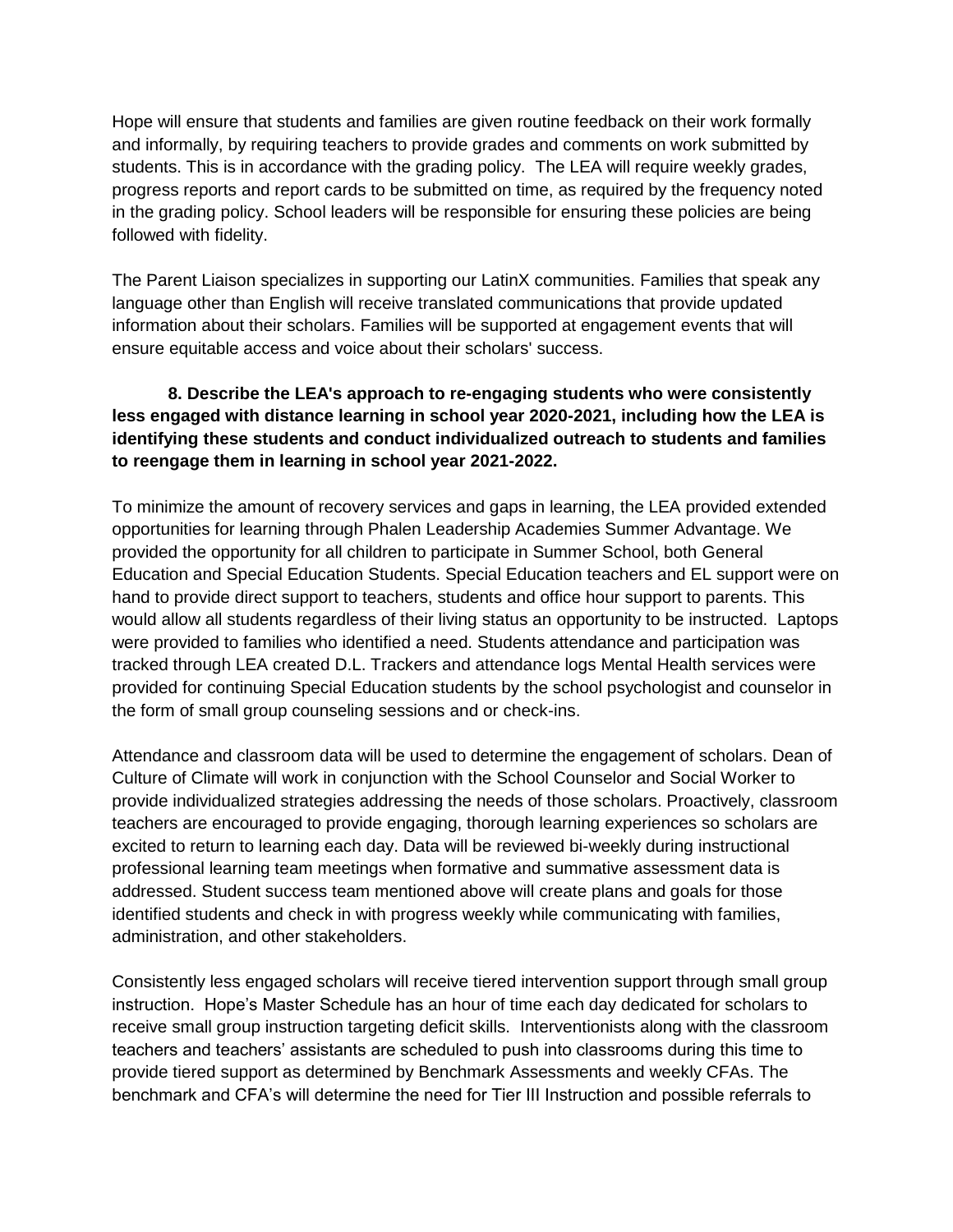Hope will ensure that students and families are given routine feedback on their work formally and informally, by requiring teachers to provide grades and comments on work submitted by students. This is in accordance with the grading policy. The LEA will require weekly grades, progress reports and report cards to be submitted on time, as required by the frequency noted in the grading policy. School leaders will be responsible for ensuring these policies are being followed with fidelity.

The Parent Liaison specializes in supporting our LatinX communities. Families that speak any language other than English will receive translated communications that provide updated information about their scholars. Families will be supported at engagement events that will ensure equitable access and voice about their scholars' success.

# **8. Describe the LEA's approach to re-engaging students who were consistently less engaged with distance learning in school year 2020-2021, including how the LEA is identifying these students and conduct individualized outreach to students and families to reengage them in learning in school year 2021-2022.**

To minimize the amount of recovery services and gaps in learning, the LEA provided extended opportunities for learning through Phalen Leadership Academies Summer Advantage. We provided the opportunity for all children to participate in Summer School, both General Education and Special Education Students. Special Education teachers and EL support were on hand to provide direct support to teachers, students and office hour support to parents. This would allow all students regardless of their living status an opportunity to be instructed. Laptops were provided to families who identified a need. Students attendance and participation was tracked through LEA created D.L. Trackers and attendance logs Mental Health services were provided for continuing Special Education students by the school psychologist and counselor in the form of small group counseling sessions and or check-ins.

Attendance and classroom data will be used to determine the engagement of scholars. Dean of Culture of Climate will work in conjunction with the School Counselor and Social Worker to provide individualized strategies addressing the needs of those scholars. Proactively, classroom teachers are encouraged to provide engaging, thorough learning experiences so scholars are excited to return to learning each day. Data will be reviewed bi-weekly during instructional professional learning team meetings when formative and summative assessment data is addressed. Student success team mentioned above will create plans and goals for those identified students and check in with progress weekly while communicating with families, administration, and other stakeholders.

Consistently less engaged scholars will receive tiered intervention support through small group instruction. Hope's Master Schedule has an hour of time each day dedicated for scholars to receive small group instruction targeting deficit skills. Interventionists along with the classroom teachers and teachers' assistants are scheduled to push into classrooms during this time to provide tiered support as determined by Benchmark Assessments and weekly CFAs. The benchmark and CFA's will determine the need for Tier III Instruction and possible referrals to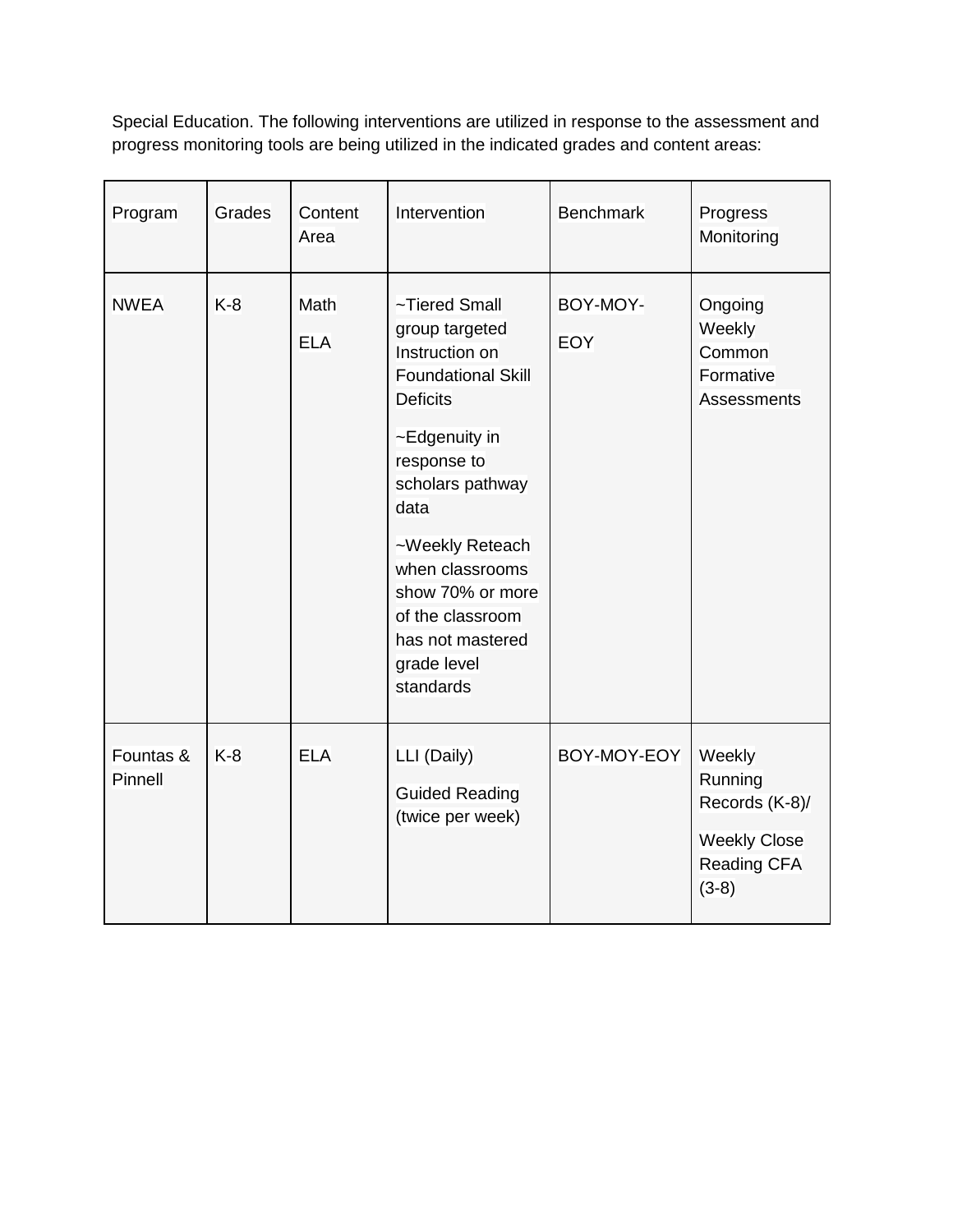Special Education. The following interventions are utilized in response to the assessment and progress monitoring tools are being utilized in the indicated grades and content areas:

| Program              | Grades | Content<br>Area           | Intervention                                                                                                               | <b>Benchmark</b>       | Progress<br>Monitoring                                                               |  |
|----------------------|--------|---------------------------|----------------------------------------------------------------------------------------------------------------------------|------------------------|--------------------------------------------------------------------------------------|--|
| <b>NWEA</b>          | $K-8$  | <b>Math</b><br><b>ELA</b> | ~Tiered Small<br>group targeted<br>Instruction on<br><b>Foundational Skill</b><br><b>Deficits</b>                          | BOY-MOY-<br><b>EOY</b> | Ongoing<br>Weekly<br>Common<br>Formative<br>Assessments                              |  |
|                      |        |                           | ~Edgenuity in<br>response to<br>scholars pathway<br>data                                                                   |                        |                                                                                      |  |
|                      |        |                           | ~Weekly Reteach<br>when classrooms<br>show 70% or more<br>of the classroom<br>has not mastered<br>grade level<br>standards |                        |                                                                                      |  |
| Fountas &<br>Pinnell | $K-8$  | <b>ELA</b>                | LLI (Daily)<br><b>Guided Reading</b><br>(twice per week)                                                                   | BOY-MOY-EOY            | Weekly<br>Running<br>Records (K-8)/<br><b>Weekly Close</b><br>Reading CFA<br>$(3-8)$ |  |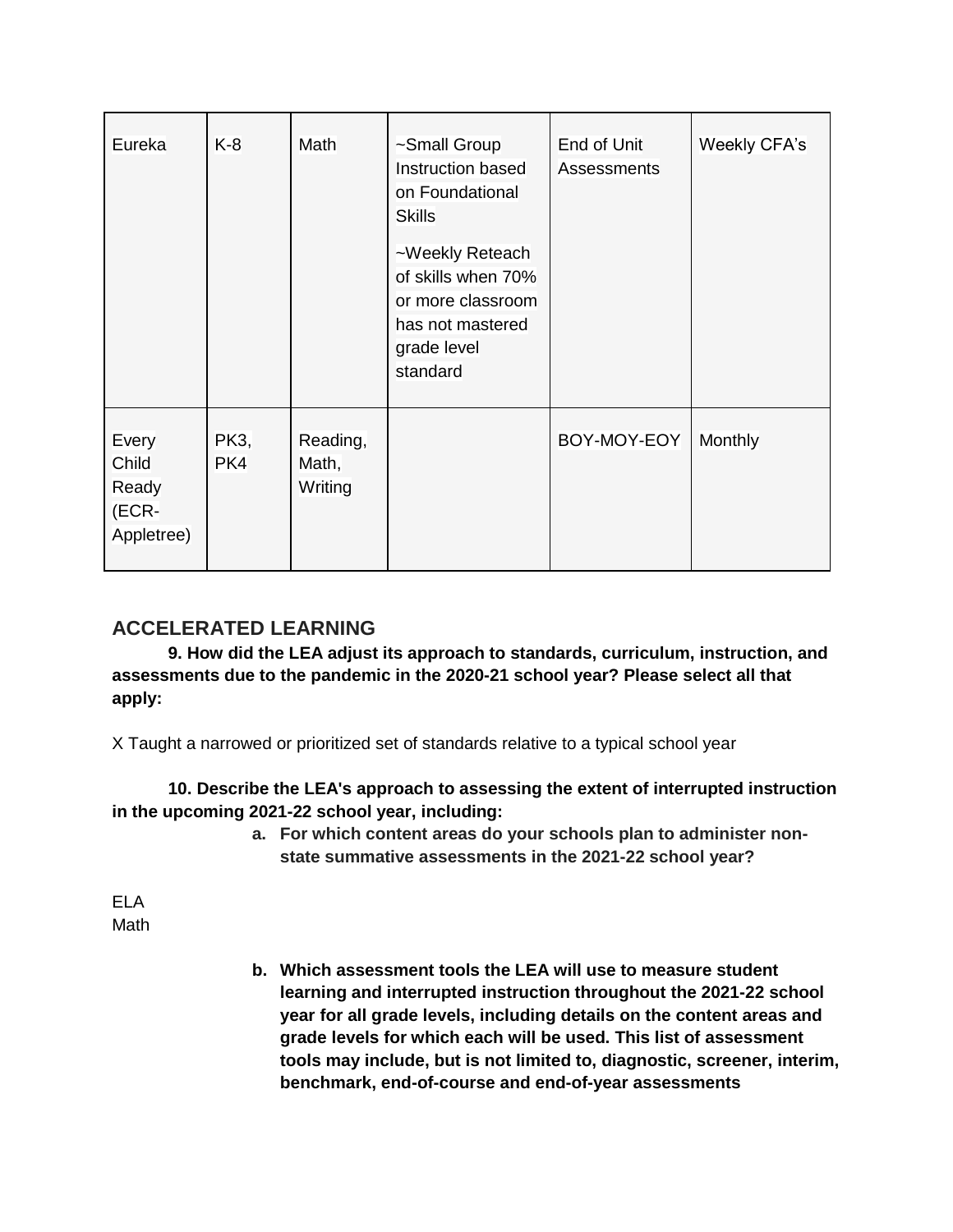| Eureka                                         | $K-8$              | Math                         | ~Small Group<br>Instruction based<br>on Foundational<br><b>Skills</b>                                     | End of Unit<br><b>Assessments</b> | Weekly CFA's |
|------------------------------------------------|--------------------|------------------------------|-----------------------------------------------------------------------------------------------------------|-----------------------------------|--------------|
|                                                |                    |                              | ~Weekly Reteach<br>of skills when 70%<br>or more classroom<br>has not mastered<br>grade level<br>standard |                                   |              |
| Every<br>Child<br>Ready<br>(ECR-<br>Appletree) | <b>PK3,</b><br>PK4 | Reading,<br>Math,<br>Writing |                                                                                                           | BOY-MOY-EOY                       | Monthly      |

# **ACCELERATED LEARNING**

**9. How did the LEA adjust its approach to standards, curriculum, instruction, and assessments due to the pandemic in the 2020-21 school year? Please select all that apply:**

X Taught a narrowed or prioritized set of standards relative to a typical school year

**10. Describe the LEA's approach to assessing the extent of interrupted instruction in the upcoming 2021-22 school year, including:**

> **a. For which content areas do your schools plan to administer nonstate summative assessments in the 2021-22 school year?**

ELA Math

> **b. Which assessment tools the LEA will use to measure student learning and interrupted instruction throughout the 2021-22 school year for all grade levels, including details on the content areas and grade levels for which each will be used. This list of assessment tools may include, but is not limited to, diagnostic, screener, interim, benchmark, end-of-course and end-of-year assessments**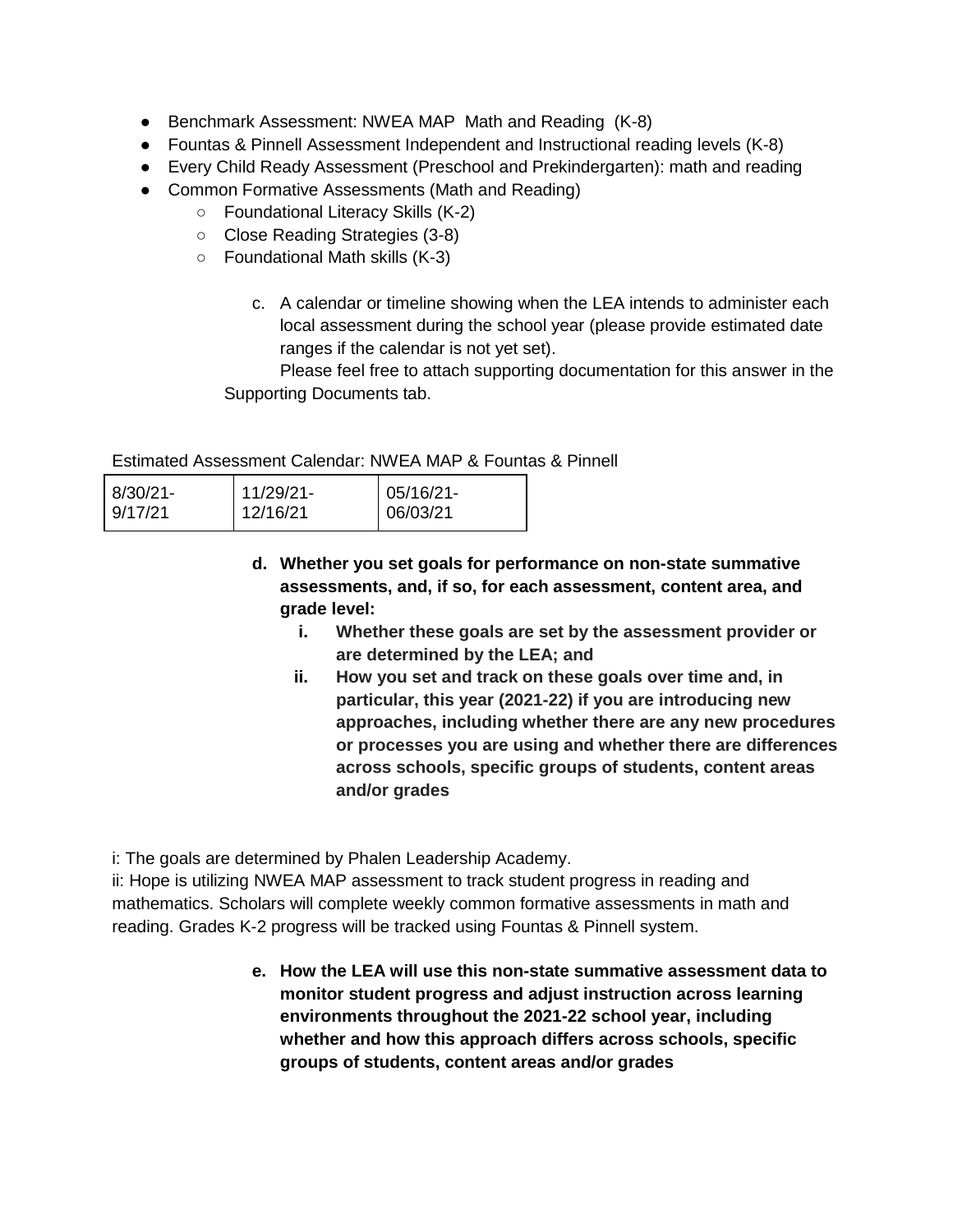- Benchmark Assessment: NWEA MAP Math and Reading (K-8)
- Fountas & Pinnell Assessment Independent and Instructional reading levels (K-8)
- Every Child Ready Assessment (Preschool and Prekindergarten): math and reading
- Common Formative Assessments (Math and Reading)
	- Foundational Literacy Skills (K-2)
	- Close Reading Strategies (3-8)
	- Foundational Math skills (K-3)
		- c. A calendar or timeline showing when the LEA intends to administer each local assessment during the school year (please provide estimated date ranges if the calendar is not yet set).

Please feel free to attach supporting documentation for this answer in the Supporting Documents tab.

Estimated Assessment Calendar: NWEA MAP & Fountas & Pinnell

| 8/30/21- | 11/29/21- | $05/16/21$ - |
|----------|-----------|--------------|
| 9/17/21  | 12/16/21  | 06/03/21     |

- **d. Whether you set goals for performance on non-state summative assessments, and, if so, for each assessment, content area, and grade level:**
	- **i. Whether these goals are set by the assessment provider or are determined by the LEA; and**
	- **ii. How you set and track on these goals over time and, in particular, this year (2021-22) if you are introducing new approaches, including whether there are any new procedures or processes you are using and whether there are differences across schools, specific groups of students, content areas and/or grades**

i: The goals are determined by Phalen Leadership Academy.

ii: Hope is utilizing NWEA MAP assessment to track student progress in reading and mathematics. Scholars will complete weekly common formative assessments in math and reading. Grades K-2 progress will be tracked using Fountas & Pinnell system.

> **e. How the LEA will use this non-state summative assessment data to monitor student progress and adjust instruction across learning environments throughout the 2021-22 school year, including whether and how this approach differs across schools, specific groups of students, content areas and/or grades**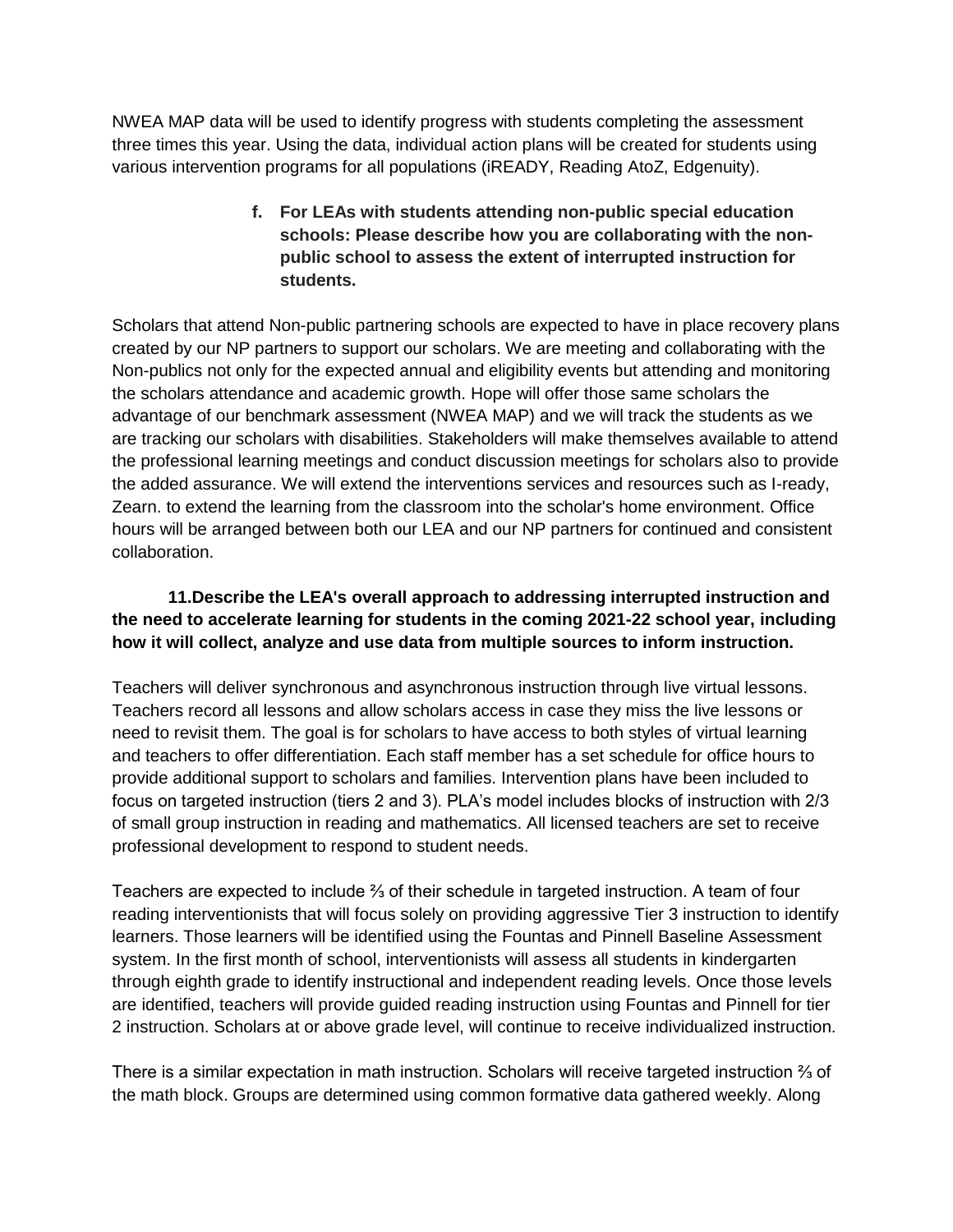NWEA MAP data will be used to identify progress with students completing the assessment three times this year. Using the data, individual action plans will be created for students using various intervention programs for all populations (iREADY, Reading AtoZ, Edgenuity).

> **f. For LEAs with students attending non-public special education schools: Please describe how you are collaborating with the nonpublic school to assess the extent of interrupted instruction for students.**

Scholars that attend Non-public partnering schools are expected to have in place recovery plans created by our NP partners to support our scholars. We are meeting and collaborating with the Non-publics not only for the expected annual and eligibility events but attending and monitoring the scholars attendance and academic growth. Hope will offer those same scholars the advantage of our benchmark assessment (NWEA MAP) and we will track the students as we are tracking our scholars with disabilities. Stakeholders will make themselves available to attend the professional learning meetings and conduct discussion meetings for scholars also to provide the added assurance. We will extend the interventions services and resources such as I-ready, Zearn. to extend the learning from the classroom into the scholar's home environment. Office hours will be arranged between both our LEA and our NP partners for continued and consistent collaboration.

# **11.Describe the LEA's overall approach to addressing interrupted instruction and the need to accelerate learning for students in the coming 2021-22 school year, including how it will collect, analyze and use data from multiple sources to inform instruction.**

Teachers will deliver synchronous and asynchronous instruction through live virtual lessons. Teachers record all lessons and allow scholars access in case they miss the live lessons or need to revisit them. The goal is for scholars to have access to both styles of virtual learning and teachers to offer differentiation. Each staff member has a set schedule for office hours to provide additional support to scholars and families. Intervention plans have been included to focus on targeted instruction (tiers 2 and 3). PLA's model includes blocks of instruction with 2/3 of small group instruction in reading and mathematics. All licensed teachers are set to receive professional development to respond to student needs.

Teachers are expected to include ⅔ of their schedule in targeted instruction. A team of four reading interventionists that will focus solely on providing aggressive Tier 3 instruction to identify learners. Those learners will be identified using the Fountas and Pinnell Baseline Assessment system. In the first month of school, interventionists will assess all students in kindergarten through eighth grade to identify instructional and independent reading levels. Once those levels are identified, teachers will provide guided reading instruction using Fountas and Pinnell for tier 2 instruction. Scholars at or above grade level, will continue to receive individualized instruction.

There is a similar expectation in math instruction. Scholars will receive targeted instruction  $\frac{2}{3}$  of the math block. Groups are determined using common formative data gathered weekly. Along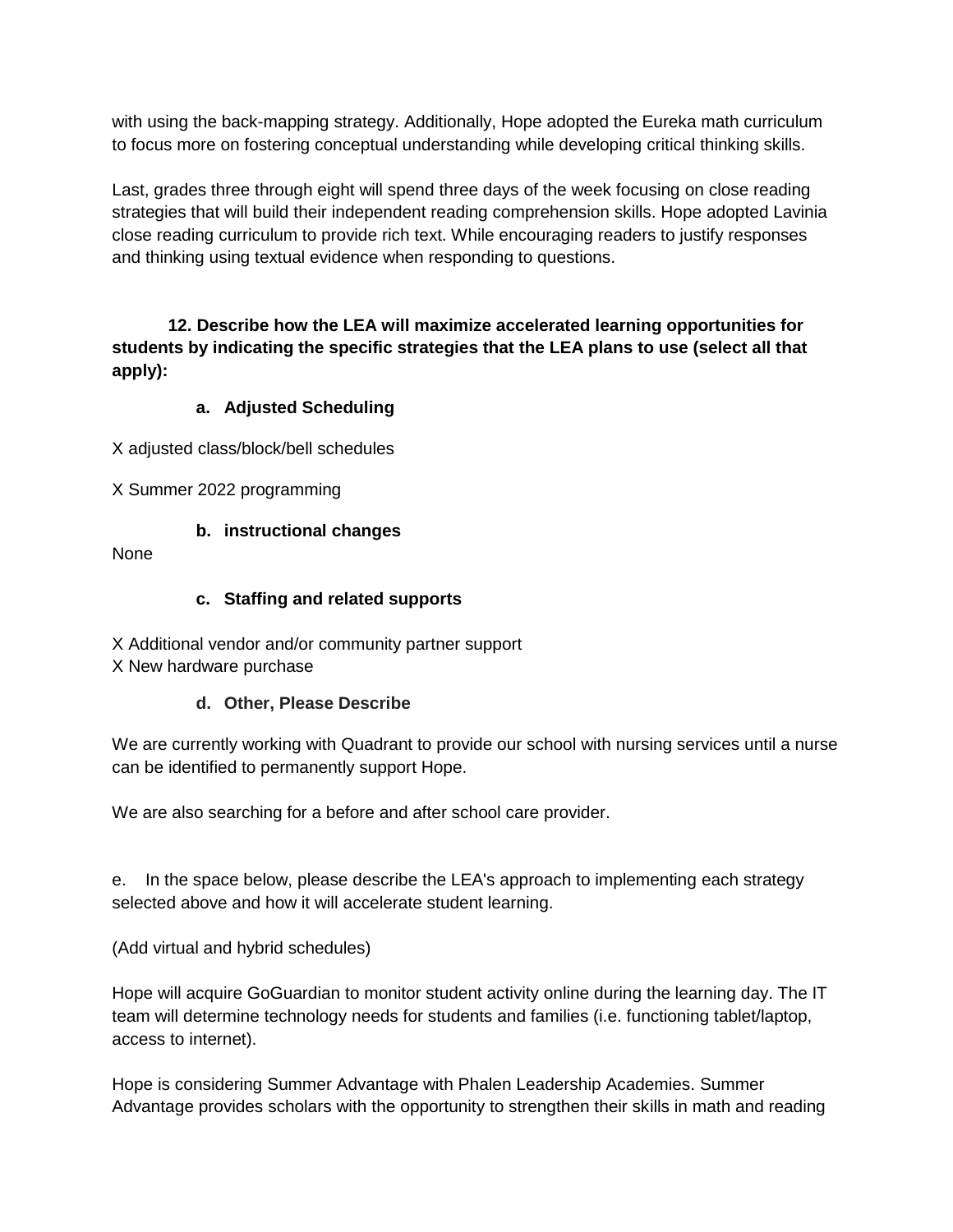with using the back-mapping strategy. Additionally, Hope adopted the Eureka math curriculum to focus more on fostering conceptual understanding while developing critical thinking skills.

Last, grades three through eight will spend three days of the week focusing on close reading strategies that will build their independent reading comprehension skills. Hope adopted Lavinia close reading curriculum to provide rich text. While encouraging readers to justify responses and thinking using textual evidence when responding to questions.

**12. Describe how the LEA will maximize accelerated learning opportunities for students by indicating the specific strategies that the LEA plans to use (select all that apply):**

# **a. Adjusted Scheduling**

X adjusted class/block/bell schedules

X Summer 2022 programming

# **b. instructional changes**

None

# **c. Staffing and related supports**

X Additional vendor and/or community partner support X New hardware purchase

# **d. Other, Please Describe**

We are currently working with Quadrant to provide our school with nursing services until a nurse can be identified to permanently support Hope.

We are also searching for a before and after school care provider.

e. In the space below, please describe the LEA's approach to implementing each strategy selected above and how it will accelerate student learning.

(Add virtual and hybrid schedules)

Hope will acquire GoGuardian to monitor student activity online during the learning day. The IT team will determine technology needs for students and families (i.e. functioning tablet/laptop, access to internet).

Hope is considering Summer Advantage with Phalen Leadership Academies. Summer Advantage provides scholars with the opportunity to strengthen their skills in math and reading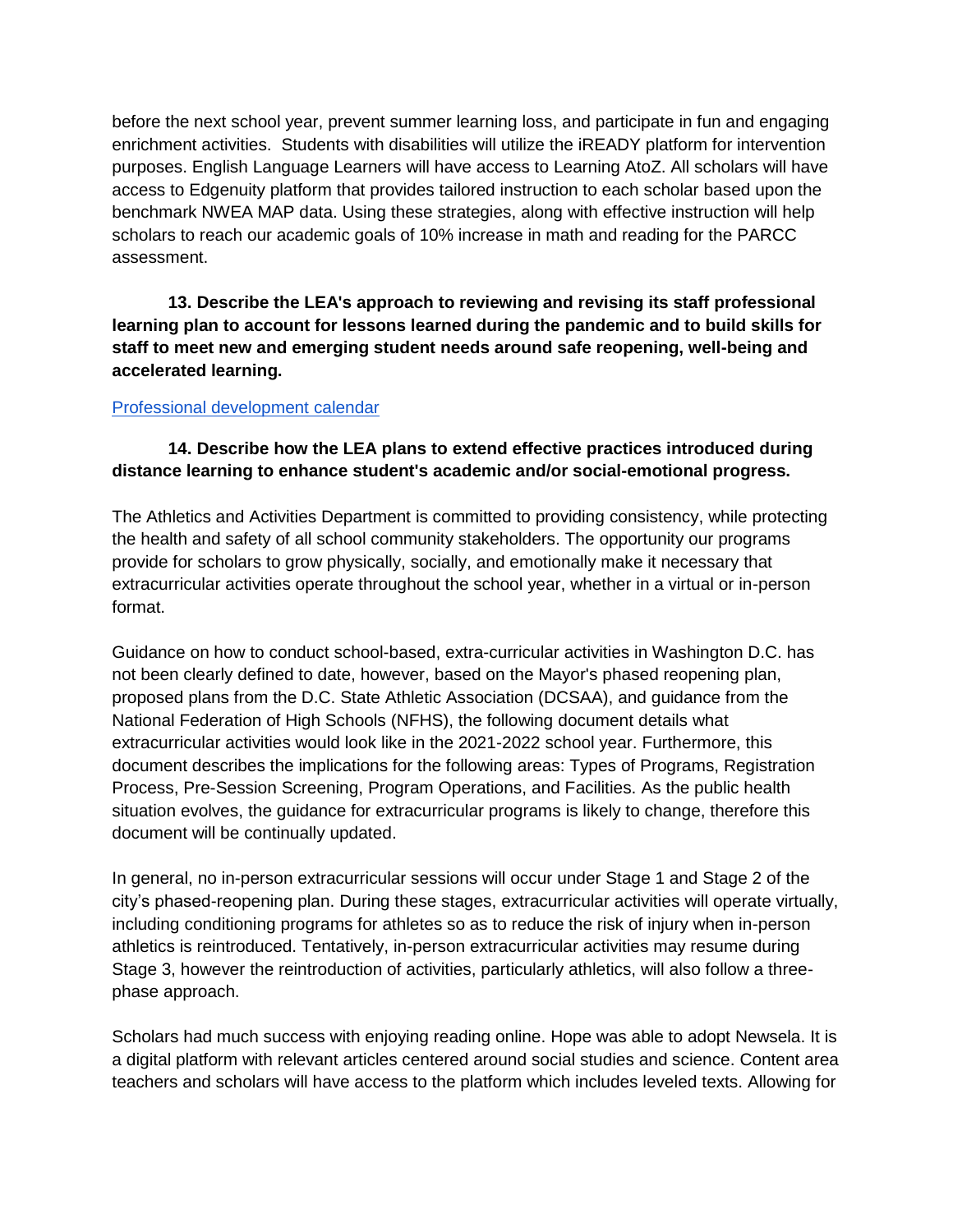before the next school year, prevent summer learning loss, and participate in fun and engaging enrichment activities. Students with disabilities will utilize the iREADY platform for intervention purposes. English Language Learners will have access to Learning AtoZ. All scholars will have access to Edgenuity platform that provides tailored instruction to each scholar based upon the benchmark NWEA MAP data. Using these strategies, along with effective instruction will help scholars to reach our academic goals of 10% increase in math and reading for the PARCC assessment.

**13. Describe the LEA's approach to reviewing and revising its staff professional learning plan to account for lessons learned during the pandemic and to build skills for staff to meet new and emerging student needs around safe reopening, well-being and accelerated learning.**

#### [Professional development calendar](https://drive.google.com/file/d/17tYGnWN6bGwe4xVIL0IBxRTMyCfjyPDx/view?usp=sharing)

# **14. Describe how the LEA plans to extend effective practices introduced during distance learning to enhance student's academic and/or social-emotional progress.**

The Athletics and Activities Department is committed to providing consistency, while protecting the health and safety of all school community stakeholders. The opportunity our programs provide for scholars to grow physically, socially, and emotionally make it necessary that extracurricular activities operate throughout the school year, whether in a virtual or in-person format.

Guidance on how to conduct school-based, extra-curricular activities in Washington D.C. has not been clearly defined to date, however, based on the Mayor's phased reopening plan, proposed plans from the D.C. State Athletic Association (DCSAA), and guidance from the National Federation of High Schools (NFHS), the following document details what extracurricular activities would look like in the 2021-2022 school year. Furthermore, this document describes the implications for the following areas: Types of Programs, Registration Process, Pre-Session Screening, Program Operations, and Facilities. As the public health situation evolves, the guidance for extracurricular programs is likely to change, therefore this document will be continually updated.

In general, no in-person extracurricular sessions will occur under Stage 1 and Stage 2 of the city's phased-reopening plan. During these stages, extracurricular activities will operate virtually, including conditioning programs for athletes so as to reduce the risk of injury when in-person athletics is reintroduced. Tentatively, in-person extracurricular activities may resume during Stage 3, however the reintroduction of activities, particularly athletics, will also follow a threephase approach.

Scholars had much success with enjoying reading online. Hope was able to adopt Newsela. It is a digital platform with relevant articles centered around social studies and science. Content area teachers and scholars will have access to the platform which includes leveled texts. Allowing for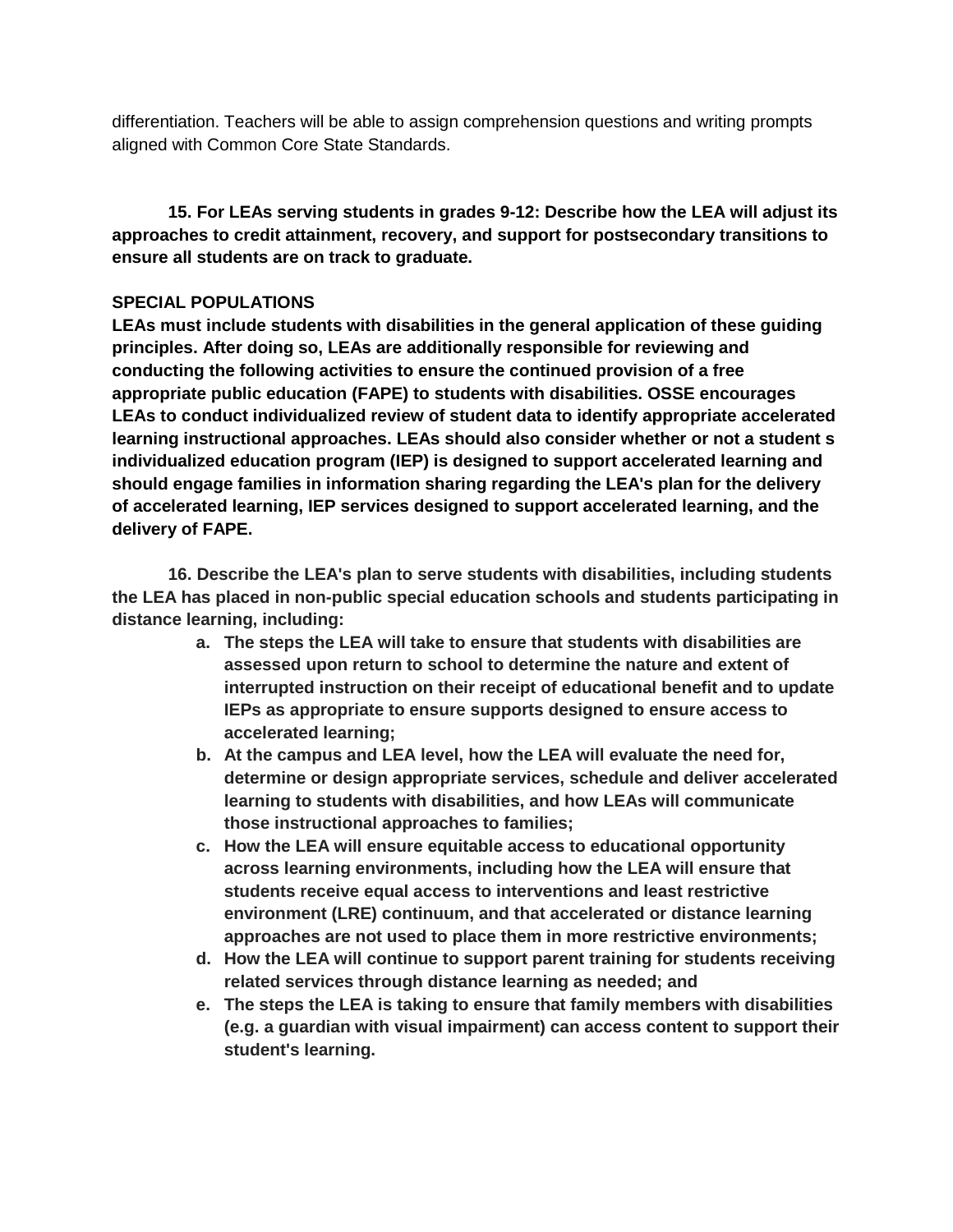differentiation. Teachers will be able to assign comprehension questions and writing prompts aligned with Common Core State Standards.

**15. For LEAs serving students in grades 9-12: Describe how the LEA will adjust its approaches to credit attainment, recovery, and support for postsecondary transitions to ensure all students are on track to graduate.**

### **SPECIAL POPULATIONS**

**LEAs must include students with disabilities in the general application of these guiding principles. After doing so, LEAs are additionally responsible for reviewing and conducting the following activities to ensure the continued provision of a free appropriate public education (FAPE) to students with disabilities. OSSE encourages LEAs to conduct individualized review of student data to identify appropriate accelerated learning instructional approaches. LEAs should also consider whether or not a student s individualized education program (IEP) is designed to support accelerated learning and should engage families in information sharing regarding the LEA's plan for the delivery of accelerated learning, IEP services designed to support accelerated learning, and the delivery of FAPE.**

**16. Describe the LEA's plan to serve students with disabilities, including students the LEA has placed in non-public special education schools and students participating in distance learning, including:**

- **a. The steps the LEA will take to ensure that students with disabilities are assessed upon return to school to determine the nature and extent of interrupted instruction on their receipt of educational benefit and to update IEPs as appropriate to ensure supports designed to ensure access to accelerated learning;**
- **b. At the campus and LEA level, how the LEA will evaluate the need for, determine or design appropriate services, schedule and deliver accelerated learning to students with disabilities, and how LEAs will communicate those instructional approaches to families;**
- **c. How the LEA will ensure equitable access to educational opportunity across learning environments, including how the LEA will ensure that students receive equal access to interventions and least restrictive environment (LRE) continuum, and that accelerated or distance learning approaches are not used to place them in more restrictive environments;**
- **d. How the LEA will continue to support parent training for students receiving related services through distance learning as needed; and**
- **e. The steps the LEA is taking to ensure that family members with disabilities (e.g. a guardian with visual impairment) can access content to support their student's learning.**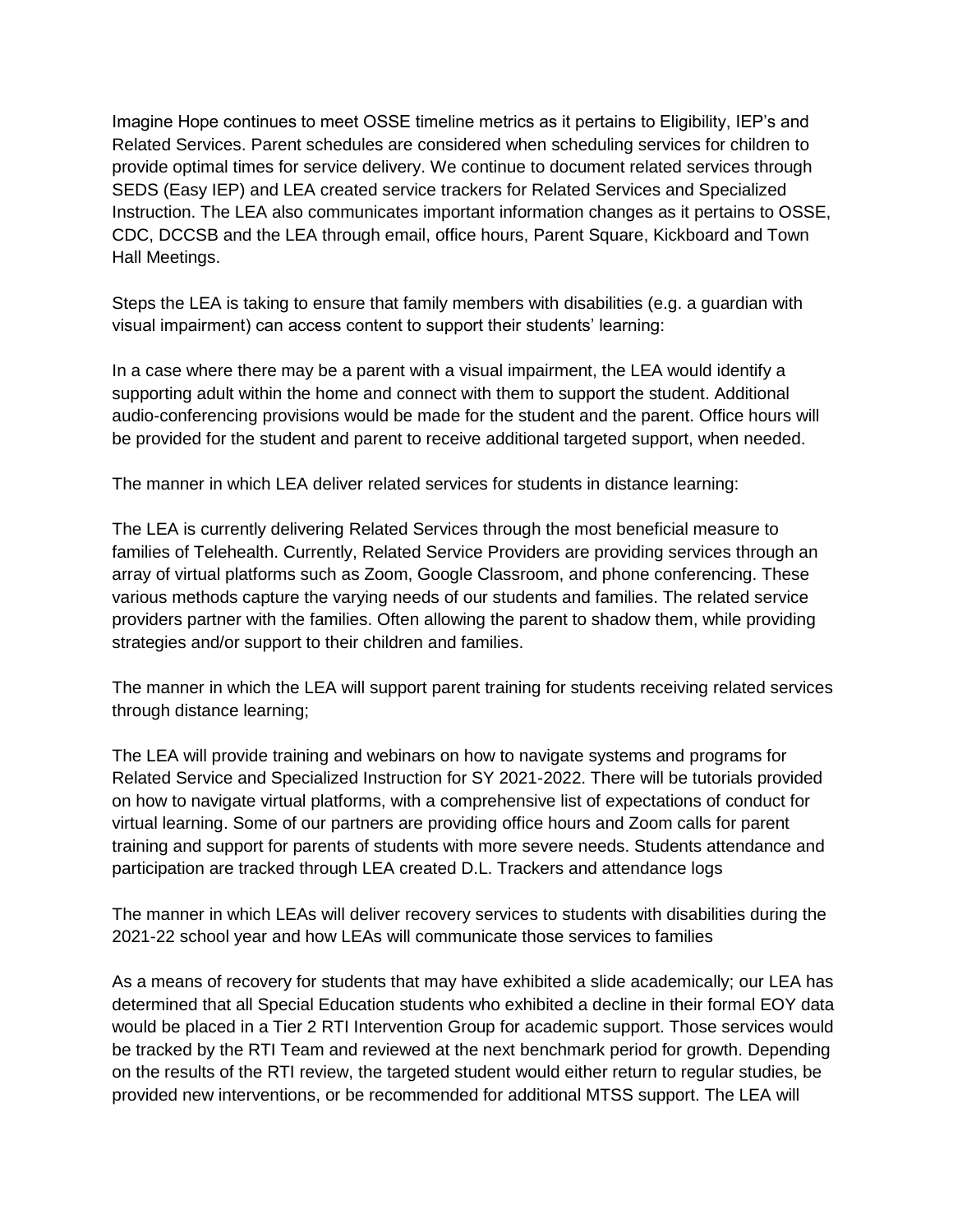Imagine Hope continues to meet OSSE timeline metrics as it pertains to Eligibility, IEP's and Related Services. Parent schedules are considered when scheduling services for children to provide optimal times for service delivery. We continue to document related services through SEDS (Easy IEP) and LEA created service trackers for Related Services and Specialized Instruction. The LEA also communicates important information changes as it pertains to OSSE, CDC, DCCSB and the LEA through email, office hours, Parent Square, Kickboard and Town Hall Meetings.

Steps the LEA is taking to ensure that family members with disabilities (e.g. a guardian with visual impairment) can access content to support their students' learning:

In a case where there may be a parent with a visual impairment, the LEA would identify a supporting adult within the home and connect with them to support the student. Additional audio-conferencing provisions would be made for the student and the parent. Office hours will be provided for the student and parent to receive additional targeted support, when needed.

The manner in which LEA deliver related services for students in distance learning:

The LEA is currently delivering Related Services through the most beneficial measure to families of Telehealth. Currently, Related Service Providers are providing services through an array of virtual platforms such as Zoom, Google Classroom, and phone conferencing. These various methods capture the varying needs of our students and families. The related service providers partner with the families. Often allowing the parent to shadow them, while providing strategies and/or support to their children and families.

The manner in which the LEA will support parent training for students receiving related services through distance learning;

The LEA will provide training and webinars on how to navigate systems and programs for Related Service and Specialized Instruction for SY 2021-2022. There will be tutorials provided on how to navigate virtual platforms, with a comprehensive list of expectations of conduct for virtual learning. Some of our partners are providing office hours and Zoom calls for parent training and support for parents of students with more severe needs. Students attendance and participation are tracked through LEA created D.L. Trackers and attendance logs

The manner in which LEAs will deliver recovery services to students with disabilities during the 2021-22 school year and how LEAs will communicate those services to families

As a means of recovery for students that may have exhibited a slide academically; our LEA has determined that all Special Education students who exhibited a decline in their formal EOY data would be placed in a Tier 2 RTI Intervention Group for academic support. Those services would be tracked by the RTI Team and reviewed at the next benchmark period for growth. Depending on the results of the RTI review, the targeted student would either return to regular studies, be provided new interventions, or be recommended for additional MTSS support. The LEA will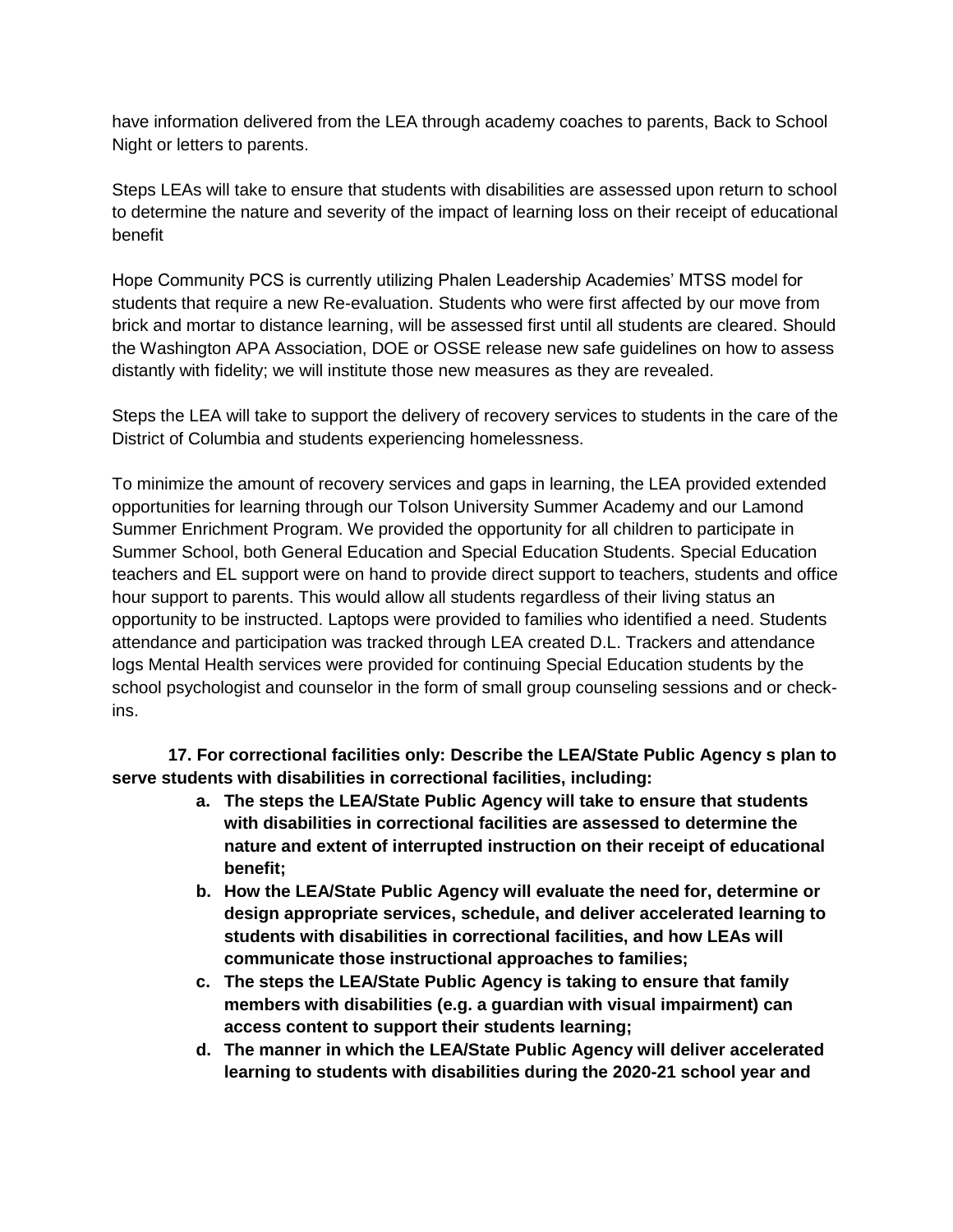have information delivered from the LEA through academy coaches to parents, Back to School Night or letters to parents.

Steps LEAs will take to ensure that students with disabilities are assessed upon return to school to determine the nature and severity of the impact of learning loss on their receipt of educational benefit

Hope Community PCS is currently utilizing Phalen Leadership Academies' MTSS model for students that require a new Re-evaluation. Students who were first affected by our move from brick and mortar to distance learning, will be assessed first until all students are cleared. Should the Washington APA Association, DOE or OSSE release new safe guidelines on how to assess distantly with fidelity; we will institute those new measures as they are revealed.

Steps the LEA will take to support the delivery of recovery services to students in the care of the District of Columbia and students experiencing homelessness.

To minimize the amount of recovery services and gaps in learning, the LEA provided extended opportunities for learning through our Tolson University Summer Academy and our Lamond Summer Enrichment Program. We provided the opportunity for all children to participate in Summer School, both General Education and Special Education Students. Special Education teachers and EL support were on hand to provide direct support to teachers, students and office hour support to parents. This would allow all students regardless of their living status an opportunity to be instructed. Laptops were provided to families who identified a need. Students attendance and participation was tracked through LEA created D.L. Trackers and attendance logs Mental Health services were provided for continuing Special Education students by the school psychologist and counselor in the form of small group counseling sessions and or checkins.

**17. For correctional facilities only: Describe the LEA/State Public Agency s plan to serve students with disabilities in correctional facilities, including:**

- **a. The steps the LEA/State Public Agency will take to ensure that students with disabilities in correctional facilities are assessed to determine the nature and extent of interrupted instruction on their receipt of educational benefit;**
- **b. How the LEA/State Public Agency will evaluate the need for, determine or design appropriate services, schedule, and deliver accelerated learning to students with disabilities in correctional facilities, and how LEAs will communicate those instructional approaches to families;**
- **c. The steps the LEA/State Public Agency is taking to ensure that family members with disabilities (e.g. a guardian with visual impairment) can access content to support their students learning;**
- **d. The manner in which the LEA/State Public Agency will deliver accelerated learning to students with disabilities during the 2020-21 school year and**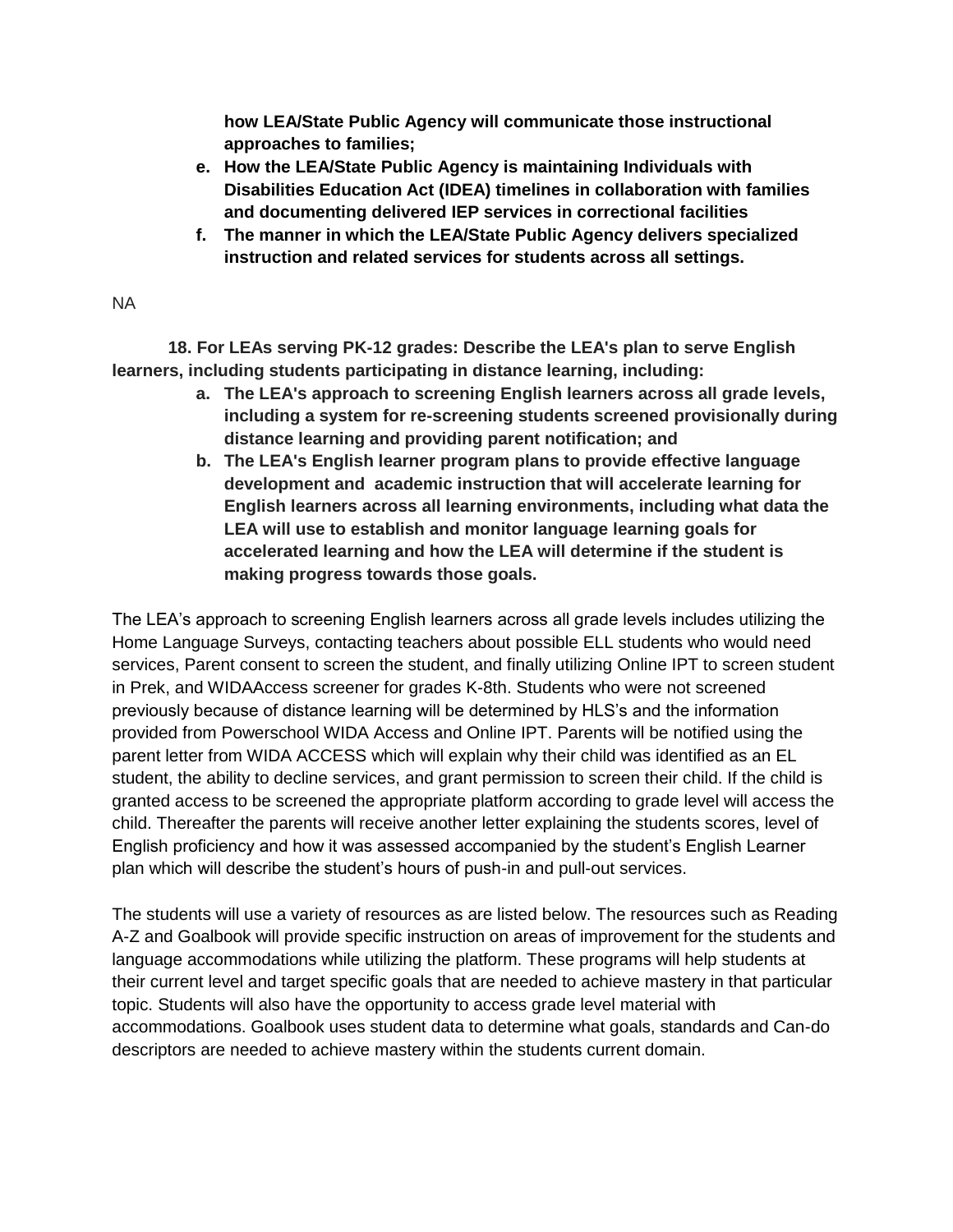**how LEA/State Public Agency will communicate those instructional approaches to families;**

- **e. How the LEA/State Public Agency is maintaining Individuals with Disabilities Education Act (IDEA) timelines in collaboration with families and documenting delivered IEP services in correctional facilities**
- **f. The manner in which the LEA/State Public Agency delivers specialized instruction and related services for students across all settings.**

#### NA

**18. For LEAs serving PK-12 grades: Describe the LEA's plan to serve English learners, including students participating in distance learning, including:**

- **a. The LEA's approach to screening English learners across all grade levels, including a system for re-screening students screened provisionally during distance learning and providing parent notification; and**
- **b. The LEA's English learner program plans to provide effective language development and academic instruction that will accelerate learning for English learners across all learning environments, including what data the LEA will use to establish and monitor language learning goals for accelerated learning and how the LEA will determine if the student is making progress towards those goals.**

The LEA's approach to screening English learners across all grade levels includes utilizing the Home Language Surveys, contacting teachers about possible ELL students who would need services, Parent consent to screen the student, and finally utilizing Online IPT to screen student in Prek, and WIDAAccess screener for grades K-8th. Students who were not screened previously because of distance learning will be determined by HLS's and the information provided from Powerschool WIDA Access and Online IPT. Parents will be notified using the parent letter from WIDA ACCESS which will explain why their child was identified as an EL student, the ability to decline services, and grant permission to screen their child. If the child is granted access to be screened the appropriate platform according to grade level will access the child. Thereafter the parents will receive another letter explaining the students scores, level of English proficiency and how it was assessed accompanied by the student's English Learner plan which will describe the student's hours of push-in and pull-out services.

The students will use a variety of resources as are listed below. The resources such as Reading A-Z and Goalbook will provide specific instruction on areas of improvement for the students and language accommodations while utilizing the platform. These programs will help students at their current level and target specific goals that are needed to achieve mastery in that particular topic. Students will also have the opportunity to access grade level material with accommodations. Goalbook uses student data to determine what goals, standards and Can-do descriptors are needed to achieve mastery within the students current domain.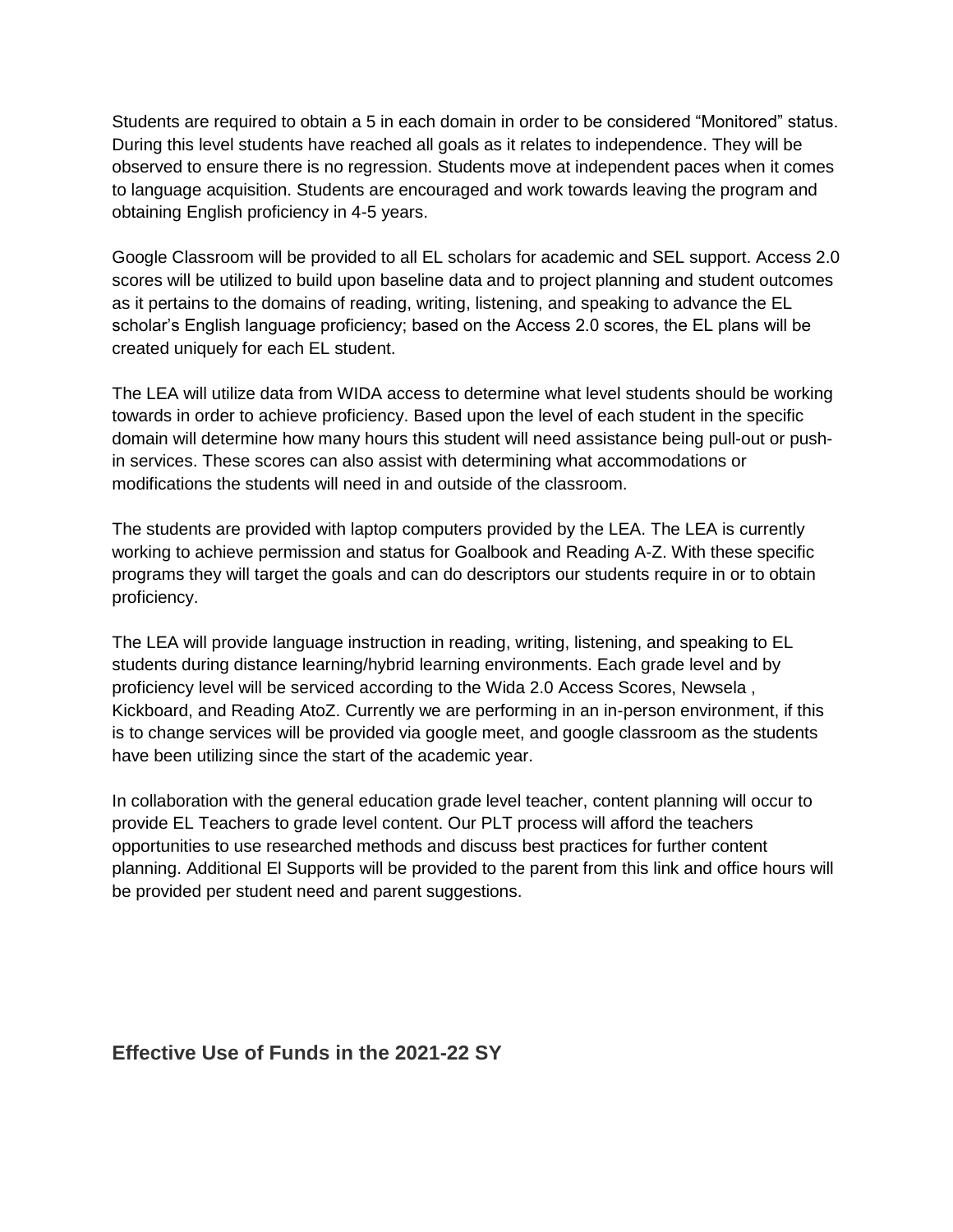Students are required to obtain a 5 in each domain in order to be considered "Monitored" status. During this level students have reached all goals as it relates to independence. They will be observed to ensure there is no regression. Students move at independent paces when it comes to language acquisition. Students are encouraged and work towards leaving the program and obtaining English proficiency in 4-5 years.

Google Classroom will be provided to all EL scholars for academic and SEL support. Access 2.0 scores will be utilized to build upon baseline data and to project planning and student outcomes as it pertains to the domains of reading, writing, listening, and speaking to advance the EL scholar's English language proficiency; based on the Access 2.0 scores, the EL plans will be created uniquely for each EL student.

The LEA will utilize data from WIDA access to determine what level students should be working towards in order to achieve proficiency. Based upon the level of each student in the specific domain will determine how many hours this student will need assistance being pull-out or pushin services. These scores can also assist with determining what accommodations or modifications the students will need in and outside of the classroom.

The students are provided with laptop computers provided by the LEA. The LEA is currently working to achieve permission and status for Goalbook and Reading A-Z. With these specific programs they will target the goals and can do descriptors our students require in or to obtain proficiency.

The LEA will provide language instruction in reading, writing, listening, and speaking to EL students during distance learning/hybrid learning environments. Each grade level and by proficiency level will be serviced according to the Wida 2.0 Access Scores, Newsela , Kickboard, and Reading AtoZ. Currently we are performing in an in-person environment, if this is to change services will be provided via google meet, and google classroom as the students have been utilizing since the start of the academic year.

In collaboration with the general education grade level teacher, content planning will occur to provide EL Teachers to grade level content. Our PLT process will afford the teachers opportunities to use researched methods and discuss best practices for further content planning. Additional El Supports will be provided to the parent from this link and office hours will be provided per student need and parent suggestions.

# **Effective Use of Funds in the 2021-22 SY**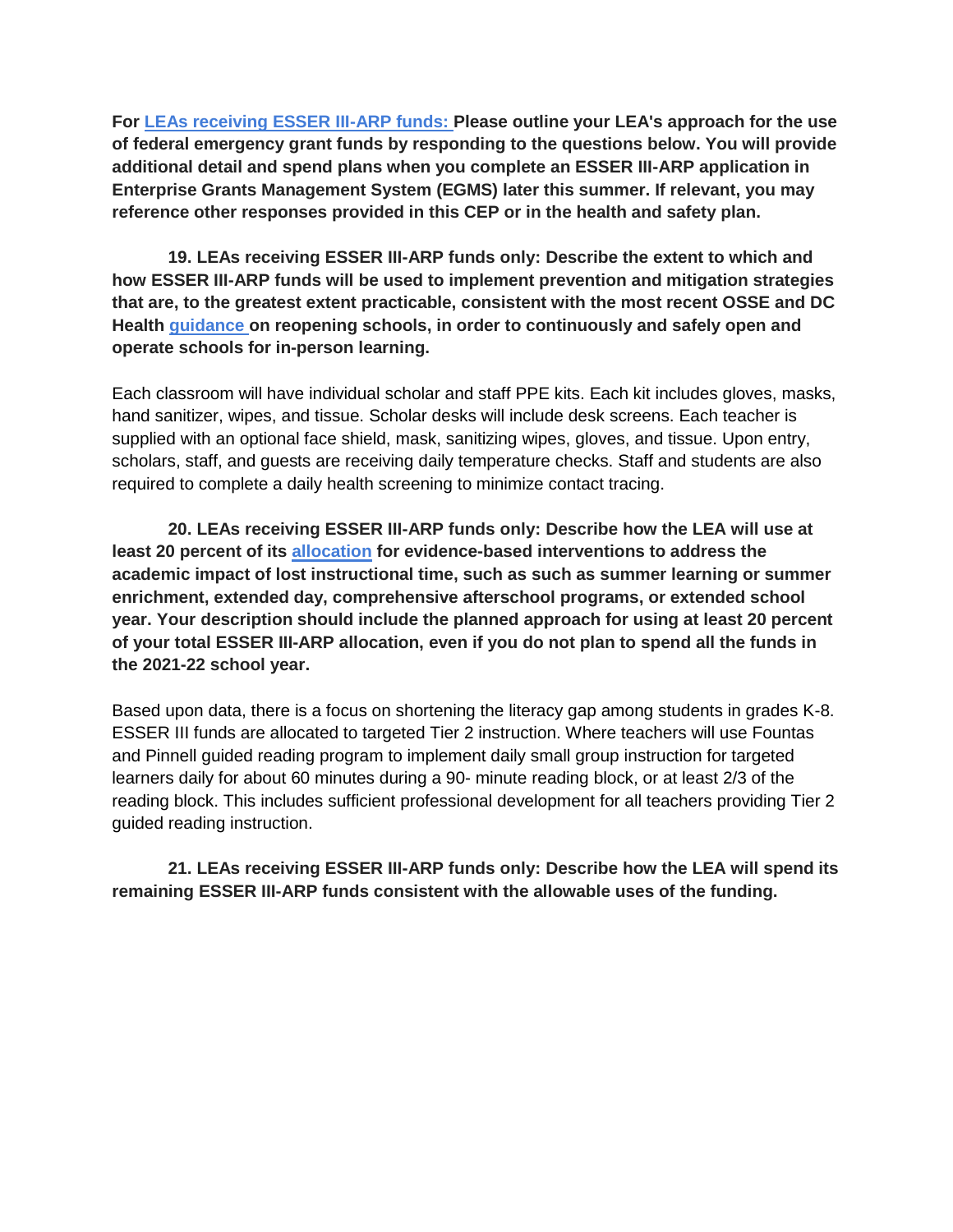**For [LEAs receiving ESSER III-ARP funds: P](https://osse.dc.gov/sites/default/files/dc/sites/osse/page_content/attachments/ARP%20ESSER%20III%20LEA%20Allocations%20-%20Preliminary.pdf)lease outline your LEA's approach for the use of federal emergency grant funds by responding to the questions below. You will provide additional detail and spend plans when you complete an ESSER III-ARP application in Enterprise Grants Management System (EGMS) later this summer. If relevant, you may reference other responses provided in this CEP or in the health and safety plan.**

**19. LEAs receiving ESSER III-ARP funds only: Describe the extent to which and how ESSER III-ARP funds will be used to implement prevention and mitigation strategies that are, to the greatest extent practicable, consistent with the most recent OSSE and DC Health [guidance o](https://osse.dc.gov/page/guidance-and-resources-covid-19-related-closures-and-recovery#health_safety)n reopening schools, in order to continuously and safely open and operate schools for in-person learning.**

Each classroom will have individual scholar and staff PPE kits. Each kit includes gloves, masks, hand sanitizer, wipes, and tissue. Scholar desks will include desk screens. Each teacher is supplied with an optional face shield, mask, sanitizing wipes, gloves, and tissue. Upon entry, scholars, staff, and guests are receiving daily temperature checks. Staff and students are also required to complete a daily health screening to minimize contact tracing.

**20. LEAs receiving ESSER III-ARP funds only: Describe how the LEA will use at least 20 percent of its [allocation](https://osse.dc.gov/recoveryfunding) for evidence-based interventions to address the academic impact of lost instructional time, such as such as summer learning or summer enrichment, extended day, comprehensive afterschool programs, or extended school year. Your description should include the planned approach for using at least 20 percent of your total ESSER III-ARP allocation, even if you do not plan to spend all the funds in the 2021-22 school year.**

Based upon data, there is a focus on shortening the literacy gap among students in grades K-8. ESSER III funds are allocated to targeted Tier 2 instruction. Where teachers will use Fountas and Pinnell guided reading program to implement daily small group instruction for targeted learners daily for about 60 minutes during a 90- minute reading block, or at least 2/3 of the reading block. This includes sufficient professional development for all teachers providing Tier 2 guided reading instruction.

**21. LEAs receiving ESSER III-ARP funds only: Describe how the LEA will spend its remaining ESSER III-ARP funds consistent with the allowable uses of the funding.**